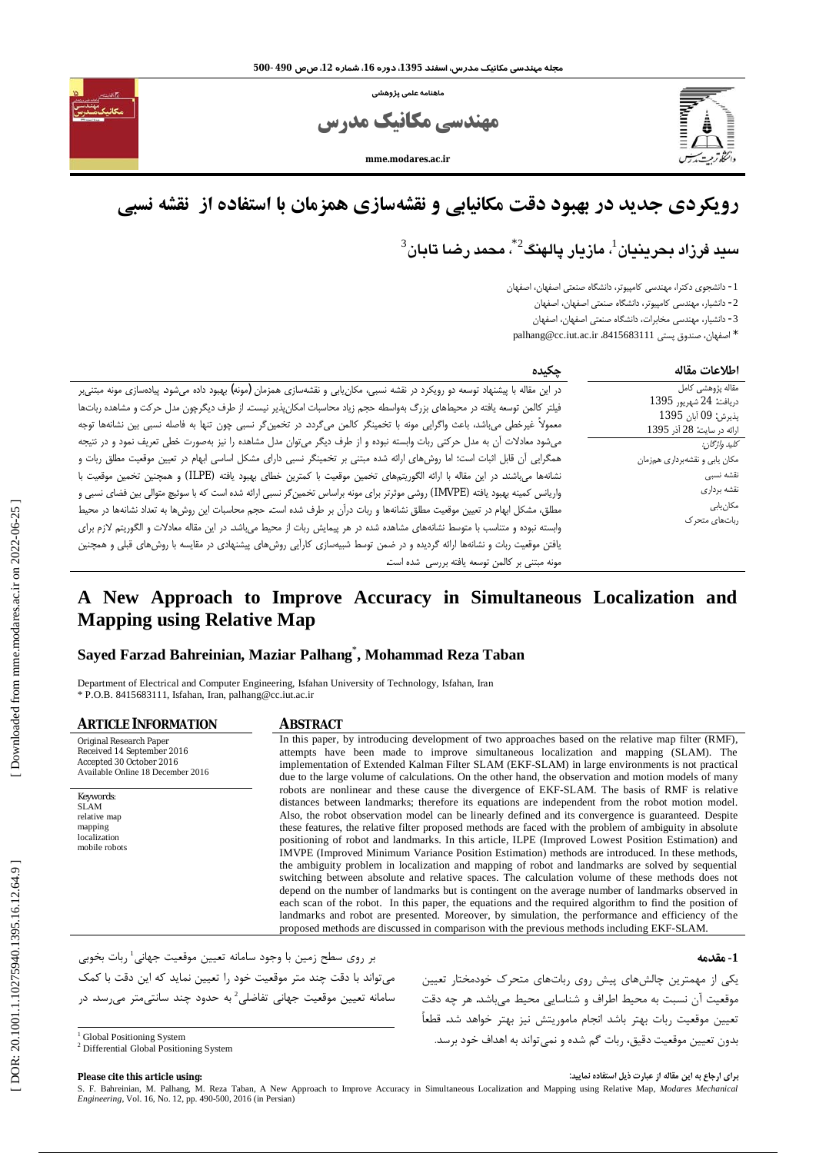ماهنامه علمى يژوهشى



مهندسی مکانیک مدرس

mme modares ac in

# رویکردی جدید در بهبود دقت مکانیابی و نقشهسازی همزمان با استفاده از نقشه نسبی

## سيد فرزاد بحرينيان<sup>1</sup>، مازيار يالهنگ<sup>2</sup> ٌ، محمد رضـا تابان<sup>3</sup>

1- دانشجوی دکترا، مهندسی کامپیوتر، دانشگاه صنعتی اصفهان، اصفهان

2- دانشیار، مهندسی کامپیوتر، دانشگاه صنعتی اصفهان، اصفهان

3- دانشیار، مهندسی مخابرات، دانشگاه صنعتی اصفهان، اصفهان

\* اصفهان، صندوق پستي 111688343، palhang@cc.iut.ac.ir

| جكىدە                                                                                                                                                                                                                                                                                                                                                                                                                                                                                                            | اطلاعات مقاله                                                                                    |
|------------------------------------------------------------------------------------------------------------------------------------------------------------------------------------------------------------------------------------------------------------------------------------------------------------------------------------------------------------------------------------------------------------------------------------------------------------------------------------------------------------------|--------------------------------------------------------------------------------------------------|
| در این مقاله با پیشنهاد توسعه دو رویکرد در نقشه نسبی، مکان یابی و نقشهسازی همزمان (مونه) بهبود داده میشود. پیادهسازی مونه مبتنی ر<br>فیلتر کالمن توسعه یافته در محیطهای بزرگ بهواسطه حجم زیاد محاسبات امکانپذیر نیست. از طرف دیگرچون مدل حرکت و مشاهده رباتها<br>معمولاً غیرخطی میباشد، باعث واگرایی مونه با تخمینگر کالمن میگردد. در تخمینگر نسبی چون تنها به فاصله نسبی بین نشانهها توجه                                                                                                                       | مقاله پژوهشی کامل<br>دريافت: 24 شهريور 1395<br>يذيرش: 09 آبان 1395<br>ارائه در سايت: 28 آذر 1395 |
| میشود معادلات أن به مدل حرکتی ربات وابسته نبوده و از طرف دیگر میتوان مدل مشاهده را نیز بهصورت خطی تعریف نمود و در نتیجه<br>همگرایی آن قابل اثبات است؛ اما روشهای ارائه شده مبتنی بر تخمینگر نسبی دارای مشکل اساسی ابهام در تعیین موقعیت مطلق ربات و<br>نشانهها می!شند. در این مقاله با ارائه الگوریتمهای تخمین موقعیت با کمترین خطای بهبود یافته (ILPE) و همچنین تخمین موقعیت با<br>واریانس کمینه بهبود یافته (IMVPE) روشی موثرتر برای مونه براساس تخمینگر نسبی ارائه شده است که با سوئیچ متوالی بین فضای نسبی و | كليد واژگان:<br>مکان يابي و نقشهبرداري همزمان<br>نقشه نسبى<br>نقشه برداري<br>مكان يابى           |
| مطلق، مشکل ابهام در تعیین موقعیت مطلق نشانهها و ربات دراًن بر طرف شده است. حجم محاسبات این روشها به تعداد نشانهها در محیط<br>وابسته نبوده و متناسب با متوسط نشانههای مشاهده شده در هر پیمایش ربات از محیط میباشد. در این مقاله معادلات و الگوریتم لازم برای<br>یافتن موقعیت ربات و نشانهها ارائه گردیده و در ضمن توسط شبیهسازی کارآیی روشهای پیشنهادی در مقایسه با روشهای قبلی و همچنین<br>مونه مبتنی بر کالمن توسعه یافته بررسی شده است.                                                                        | رباتهای متحرک                                                                                    |

## A New Approach to Improve Accuracy in Simultaneous Localization and **Mapping using Relative Map**

#### Sayed Farzad Bahreinian, Maziar Palhang<sup>\*</sup>, Mohammad Reza Taban

Department of Electrical and Computer Engineering, Isfahan University of Technology, Isfahan, Iran \* P.O.B. 8415683111, Isfahan, Iran, palhang@cc.iut.ac.ir

| <b>ARTICLE INFORMATION</b>                                                                                             | <b>ABSTRACT</b>                                                                                                                                                                                                                                                                                                                                                                                                                                                                                                                                                                                                                                                                                                                                                                                                                                                                                                                                                                                                                                                                                                                                                                                                                                               |
|------------------------------------------------------------------------------------------------------------------------|---------------------------------------------------------------------------------------------------------------------------------------------------------------------------------------------------------------------------------------------------------------------------------------------------------------------------------------------------------------------------------------------------------------------------------------------------------------------------------------------------------------------------------------------------------------------------------------------------------------------------------------------------------------------------------------------------------------------------------------------------------------------------------------------------------------------------------------------------------------------------------------------------------------------------------------------------------------------------------------------------------------------------------------------------------------------------------------------------------------------------------------------------------------------------------------------------------------------------------------------------------------|
| Original Research Paper<br>Received 14 September 2016<br>Accepted 30 October 2016<br>Available Online 18 December 2016 | In this paper, by introducing development of two approaches based on the relative map filter (RMF),<br>attempts have been made to improve simultaneous localization and mapping (SLAM). The<br>implementation of Extended Kalman Filter SLAM (EKF-SLAM) in large environments is not practical<br>due to the large volume of calculations. On the other hand, the observation and motion models of many                                                                                                                                                                                                                                                                                                                                                                                                                                                                                                                                                                                                                                                                                                                                                                                                                                                       |
| Keywords:<br><b>SLAM</b><br>relative map<br>mapping<br>localization<br>mobile robots                                   | robots are nonlinear and these cause the divergence of EKF-SLAM. The basis of RMF is relative<br>distances between landmarks; therefore its equations are independent from the robot motion model.<br>Also, the robot observation model can be linearly defined and its convergence is guaranteed. Despite<br>these features, the relative filter proposed methods are faced with the problem of ambiguity in absolute<br>positioning of robot and landmarks. In this article, ILPE (Improved Lowest Position Estimation) and<br>IMVPE (Improved Minimum Variance Position Estimation) methods are introduced. In these methods,<br>the ambiguity problem in localization and mapping of robot and landmarks are solved by sequential<br>switching between absolute and relative spaces. The calculation volume of these methods does not<br>depend on the number of landmarks but is contingent on the average number of landmarks observed in<br>each scan of the robot. In this paper, the equations and the required algorithm to find the position of<br>landmarks and robot are presented. Moreover, by simulation, the performance and efficiency of the<br>proposed methods are discussed in comparison with the previous methods including EKF-SLAM. |

بر روی سطح زمین با وجود سامانه تعیین موقعیت جهانی<sup>1</sup> ربات بخوبی میتواند با دقت چند متر موقعیت خود را تعیین نماید که این دقت با کمک سامانه تعیین موقعیت جهانی تفاضلی<sup>2</sup> به حدود چند سانتیمتر میرسد. در

1- مقدمه

یکی از مهمترین چالشهای پیش روی رباتهای متحرک خودمختار تعیین موقعیت آن نسبت به محیط اطراف و شناسایی محیط می باشد. هر چه دقت تعيين موقعيت ربات بهتر باشد انجام ماموريتش نيز بهتر خواهد شد. قطعاً بدون تعیین موقعیت دقیق، ربات گم شده و نمی تواند به اهداف خود برسد.

<sup>&</sup>lt;sup>1</sup> Global Positioning System <sup>2</sup> Differential Global Positioning System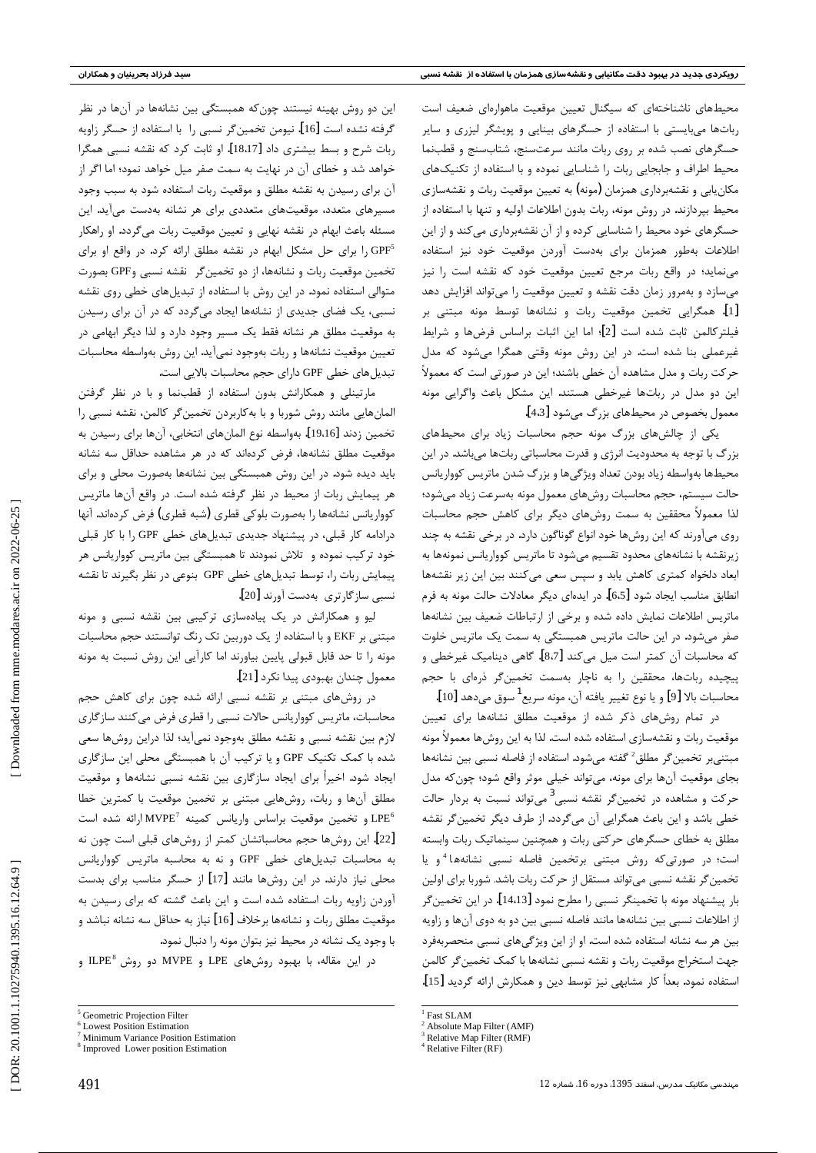محیطهای ناشناختهای که سیگنال تعیین موقعیت ماهوارهای ضعیف است رباتها میبایستی با استفاده از حسگرهای بینایی و پویشگر لیزری و سایر حسگرهای نصب شده بر روی ربات مانند سرعتسنج، شتابسنج و قطبنما محیط اطراف و جابجایی ربات را شناسایی نموده و با استفاده از تکنیکهای مکان یابی و نقشهبرداری همزمان (مونه) به تعیین موقعیت ربات و نقشهسازی محيط بيردازند. در روش مونه، ربات بدون اطلاعات اوليه و تنها با استفاده از حسگرهای خود محیط را شناسایی کرده و از آن نقشهبرداری می کند و از این اطلاعات بهطور همزمان براى بهدست آوردن موقعيت خود نيز استفاده می نماید؛ در واقع ربات مرجع تعیین موقعیت خود که نقشه است را نیز میسازد و بهمرور زمان دقت نقشه و تعیین موقعیت را میتواند افزایش دهد [1]. همگرایی تخمین موقعیت ربات و نشانهها توسط مونه مبتنی بر فيلتر كالمن ثابت شده است [2]؛ اما اين اثبات براساس فرضها و شرايط غیرعملی بنا شده است. در این روش مونه وقتی همگرا میشود که مدل حر کت ربات و مدل مشاهده آن خطی باشند؛ این در صورتی است که معمولاً این دو مدل در رباتها غیرخطی هستند. این مشکل باعث واگرایی مونه معمول بخصوص در محیطهای بزرگ میشود [4.3].

یکی از چالش های بزرگ مونه حجم محاسبات زیاد برای محیطهای بزرگ با توجه به محدودیت انرژی و قدرت محاسباتی رباتها میباشد. در این محیطها بهواسطه زیاد بودن تعداد ویژگیها و بزرگ شدن ماتریس کوواریانس حالت سیستم، حجم محاسبات روشهای معمول مونه بهسرعت زیاد میشود؛ لذا معمولاً محققین به سمت روشهای دیگر برای کاهش حجم محاسبات روی میآورند که این روشها خود انواع گوناگون دارد. در برخی نقشه به چند زیرنقشه با نشانههای محدود تقسیم میشود تا ماتریس کوواریانس نمونهها به ابعاد دلخواه کمتری کاهش یابد و سپس سعی میکنند بین این زیر نقشهها انطابق مناسب ايجاد شود [6،5]. در ايدهاي ديگر معادلات حالت مونه به فرم ماتریس اطلاعات نمایش داده شده و برخی از ارتباطات ضعیف بین نشانهها صفر میشود. در این حالت ماتریس همبستگی به سمت یک ماتریس خلوت كه محاسبات آن كمتر است ميل مي كند [8،7]. گاهي ديناميک غيرخطي و پیچیده رباتها، محققین را به ناچار بهسمت تخمین گر ذرهای با حجم محاسبات بالا [9] و يا نوع تغيير يافته آن، مونه سريع<sup>1</sup> سوق مي<هد [10].

در تمام روشهای ذکر شده از موقعیت مطلق نشانهها برای تعیین موقعیت ربات و نقشهسازی استفاده شده است. لذا به این روشها معمولاً مونه مبتني بر تخمين گر مطلق<sup>2</sup> گفته مي شود. استفاده از فاصله نسبي بين نشانهها بجای موقعیت آنها برای مونه، میتواند خیلی موثر واقع شود؛ چون که مدل حرکت و مشاهده در تخمینگر نقشه نسبی<sup>3</sup> میتواند نسبت به بردار حالت خطی باشد و این باعث همگرایی آن میگردد. از طرف دیگر تخمین گر نقشه مطلق به خطای حسگرهای حرکتی ربات و همچنین سینماتیک ربات وابسته است؛ در صورتیکه روش مبتنی برتخمین فاصله نسبی نشانهها<sup>4</sup>و یا تخمین گر نقشه نسبی می تواند مستقل از حرکت ربات باشد. شوربا برای اولین بار پیشنهاد مونه با تخمینگر نسبی را مطرح نمود [14،13]. در این تخمین ًر از اطلاعات نسبی بین نشانهها مانند فاصله نسبی بین دو به دوی آنها و زاویه بین هر سه نشانه استفاده شده است. او از این ویژگیهای نسبی منحصربهفرد جهت استخراج موقعيت ربات و نقشه نسبي نشانهها با كمك تخمين گر كالمن استفاده نمود. بعداً كار مشابهي نيز توسط دين و همكارش ارائه گرديد [15].

این دو روش بهینه نیستند چون که همبستگی بین نشانهها در آنها در نظر گرفته نشده است [16]. نیومن تخمین۶ر نسبی را با استفاده از حسگر زاویه ربات شرح و بسط بیشتری داد [18،17]. او ثابت کرد که نقشه نسبی همگرا خواهد شد و خطای آن در نهایت به سمت صفر میل خواهد نمود؛ اما اگر از آن برای رسیدن به نقشه مطلق و موقعیت ربات استفاده شود به سبب وجود مسیرهای متعدد، موقعیتهای متعددی برای هر نشانه بهدست می آید. این مسئله باعث ابهام در نقشه نهایی و تعیین موقعیت ربات میگردد. او راهکار GPF<sup>5</sup> را برای حل مشکل ابهام در نقشه مطلق ارائه کرد. در واقع او برای تخمین موقعیت ربات و نشانهها، از دو تخمین گر نقشه نسبی وGPF بصورت متوالی استفاده نمود. در این روش با استفاده از تبدیلهای خطی روی نقشه نسبی، یک فضای جدیدی از نشانهها ایجاد میگردد که در آن برای رسیدن به موقعیت مطلق هر نشانه فقط یک مسیر وجود دارد و لذا دیگر ابهامی در تعيين موقعيت نشانهها و ربات بهوجود نمي آيد. اين روش بهواسطه محاسبات تبدیل های خطی GPF دارای حجم محاسبات بالایی است.

مارتینلی و همکارانش بدون استفاده از قطبنما و با در نظر گرفتن المانهایی مانند روش شوربا و با به کاربردن تخمین گر کالمن، نقشه نسبی را تخمين زدند [19،16]. بهواسطه نوع المانهاي انتخابي، آنها براي رسيدن به موقعیت مطلق نشانهها، فرض کردهاند که در هر مشاهده حداقل سه نشانه باید دیده شود. در این روش همبستگی بین نشانهها بهصورت محلی و برای هر پیمایش ربات از محیط در نظر گرفته شده است. در واقع آنها ماتریس كوواريانس نشانهها را بهصورت بلوكي قطري (شبه قطري) فرض كردهاند. آنها درادامه کار قبلی، در پیشنهاد جدیدی تبدیل های خطی GPF را با کار قبلی خود ترکیب نموده و تلاش نمودند تا همبستگی بین ماتریس کوواریانس هر پیمایش ربات را، توسط تبدیلهای خطی GPF بنوعی در نظر بگیرند تا نقشه نسبي سازگارتري بهدست آورند [20].

لیو و همکارانش در یک پیادهسازی ترکیبی بین نقشه نسبی و مونه مبتنی بر EKF و با استفاده از یک دوربین تک رنگ توانستند حجم محاسبات مونه را تا حد قابل قبولی پایین بیاورند اما کارآیی این روش نسبت به مونه معمول چندان بهبودي پيدا نكرد [21].

در روشهای مبتنی بر نقشه نسبی ارائه شده چون برای کاهش حجم محاسبات، ماتریس کوواریانس حالات نسبی را قطری فرض می کنند سازگاری لازم بین نقشه نسبی و نقشه مطلق بهوجود نمیآید؛ لذا دراین روشها سعی شده با کمک تکنیک GPF و یا ترکیب آن با همبستگی محلی این سازگاری ایجاد شود. اخیراً برای ایجاد سازگاری بین نقشه نسبی نشانهها و موقعیت مطلق آنها و ربات، روشهایی مبتنی بر تخمین موقعیت با کمترین خطا و تخمین موقعیت براساس واریانس کمینه  $\text{MVPE}^7$  ارائه شده است IPE [22]. این روشها حجم محاسباتشان کمتر از روشهای قبلی است چون نه به محاسبات تبدیل های خطی GPF و نه به محاسبه ماتریس کوواریانس محلی نیاز دارند. در این روشها مانند [17] از حسگر مناسب برای بدست آوردن زاویه ربات استفاده شده است و این باعث گشته که برای رسیدن به موقعیت مطلق ربات و نشانهها برخلاف [16] نیاز به حداقل سه نشانه نباشد و با وجود یک نشانه در محیط نیز بتوان مونه را دنبال نمود.

در این مقاله، با بهبود روشهای LPE و MVPE دو روش ILPE<sup>8</sup> و

DOR: 20.1001.1.10275940.1395.16.12.64.9

 $\frac{1}{2}$  Fact SI AM

<sup>&</sup>lt;sup>2</sup> Absolute Map Filter (AMF)

Relative Map Filter (RMF)  $4$  Relative Filter (RF)

<sup>&</sup>lt;sup>5</sup> Geometric Projection Filter

<sup>&</sup>lt;sup>6</sup> Lowest Position Estimation

Minimum Variance Position Estimation <sup>8</sup> Improved Lower position Estimation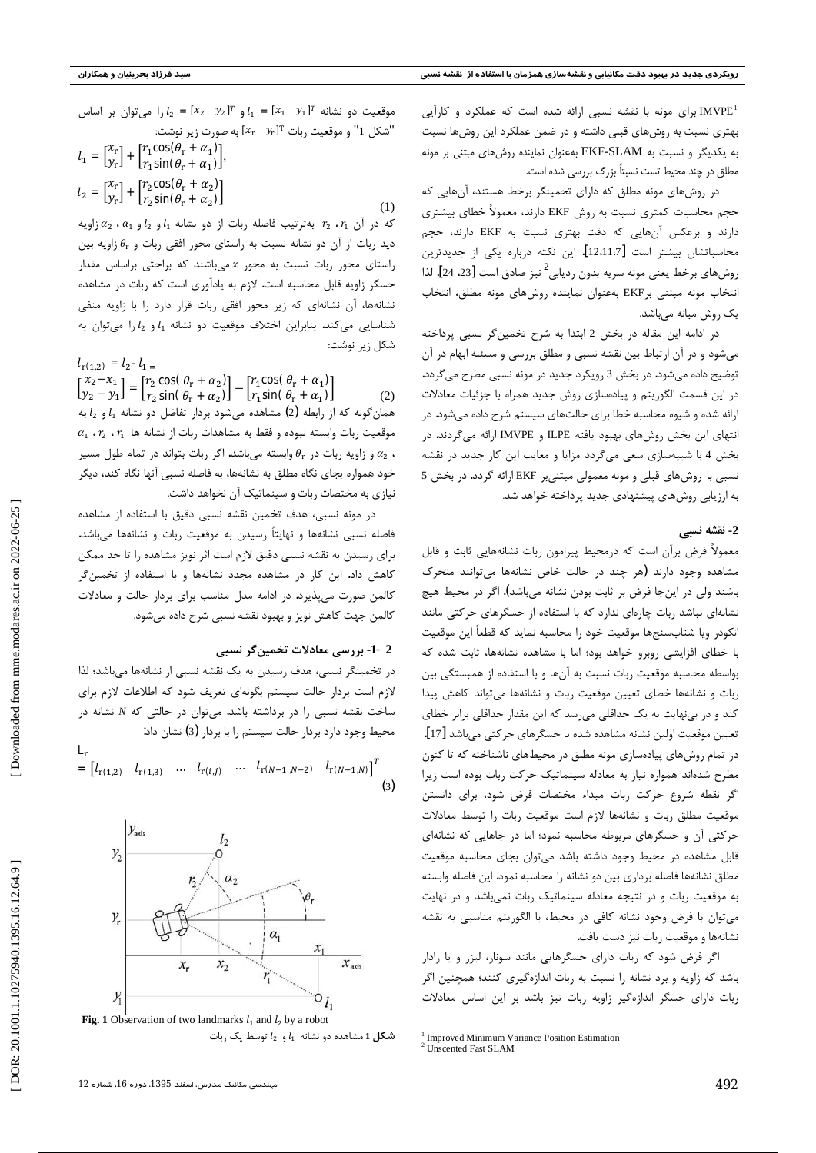<sup>1</sup>MVPE برای مونه با نقشه نسبی ارائه شده است که عملکرد و کارآیی بهتری نسبت به روشهای قبلی داشته و در ضمن عملکرد این روشها نسبت به یکدیگر و نسبت به EKF-SLAM بهعنوان نماینده روشهای مبتنی بر مونه مطلق در چند محیط تست نسبتاً بزرگ بررسی شده است.

در روشهای مونه مطلق که دارای تخمینگر برخط هستند، آنهایی که حجم محاسبات کمتری نسبت به روش EKF دارند، معمولاً خطای بیشتری دارند و برعکس آنهایی که دقت بهتری نسبت به EKF دارند، حجم محاسباتشان بیشتر است [12،11،7]. این نکته درباره یکی از جدیدترین روشهای برخط یعنی مونه سریه بدون ردیابی<sup>2</sup>نیز صادق است [23، 24]. لذا انتخاب مونه مبتنى برEKF بهعنوان نماينده روشهاى مونه مطلق، انتخاب یک روش میانه میباشد.

در ادامه این مقاله در بخش 2 ابتدا به شرح تخمین گر نسبی پرداخته میشود و در آن ارتباط بین نقشه نسبی و مطلق بررسی و مسئله ابهام در آن توضیح داده میشود. در بخش 3 رویکرد جدید در مونه نسبی مطرح میگردد. در این قسمت الگوریتم و پیادهسازی روش جدید همراه با جزئیات معادلات ارائه شده و شیوه محاسبه خطا برای حالتهای سیستم شرح داده میشود. در انتهای این بخش روشهای بهبود یافته ILPE و IMVPE ارائه می گردند. در بخش 4 با شبیهسازی سعی میگردد مزایا و معایب این کار جدید در نقشه نسبی با روشهای قبلی و مونه معمولی مبتنیبر EKF ارائه گردد. در بخش 5 به ارزیابی روشهای پیشنهادی جدید پرداخته خواهد شد.

#### 2- نقشه نسبي

معمولاً فرض برآن است که درمحیط پیرامون ربات نشانههایی ثابت و قابل مشاهده وجود دارند (هر چند در حالت خاص نشانهها می توانند متحرک باشند ولي در اينجا فرض بر ثابت بودن نشانه مي باشد). اگر در محيط هيچ نشانهای نباشد ربات چارهای ندارد که با استفاده از حسگرهای حرکتی مانند انکودر ویا شتابسنجها موقعیت خود را محاسبه نماید که قطعاً این موقعیت با خطای افزایشی روبرو خواهد بود؛ اما با مشاهده نشانهها، ثابت شده که بواسطه محاسبه موقعیت ربات نسبت به آنها و با استفاده از همبستگی بین ربات و نشانهها خطای تعیین موقعیت ربات و نشانهها میتواند کاهش پیدا کند و در بینهایت به یک حداقلی میرسد که این مقدار حداقلی برابر خطای تعيين موقعيت اولين نشانه مشاهده شده با حسگرهاي حركتي ميباشد [17]. در تمام روشهای پیادهسازی مونه مطلق در محیطهای ناشناخته که تا کنون مطرح شدهاند همواره نیاز به معادله سینماتیک حرکت ربات بوده است زیرا اگر نقطه شروع حركت ربات مبداء مختصات فرض شود، براى دانستن موقعیت مطلق ربات و نشانهها لازم است موقعیت ربات را توسط معادلات حرکتی آن و حسگرهای مربوطه محاسبه نمود؛ اما در جاهایی که نشانهای قابل مشاهده در محیط وجود داشته باشد می توان بجای محاسبه موقعیت مطلق نشانهها فاصله بردارى بين دو نشانه را محاسبه نمود. اين فاصله وابسته به موقعیت ربات و در نتیجه معادله سینماتیک ربات نمیباشد و در نهایت می توان با فرض وجود نشانه كافی در محيط، با الگوريتم مناسبی به نقشه نشانهها و موقعیت ربات نیز دست یافت.

اگر فرض شود که ربات دارای حسگرهایی مانند سونار، لیزر و یا رادار باشد که زاویه و برد نشانه را نسبت به ربات اندازهگیری کنند؛ همچنین اگر ربات دارای حسگر اندازهگیر زاویه ربات نیز باشد بر این اساس معادلات

- $l_1 = [x_1 \ y_1]^T$  موقعیت دو نشانه  $l_1 = [x_1 \ y_2]^T$  و  $l_2 = [x_2 \ y_2]^T$  و امی توان بر اساس "شكل 1" و موقعيت ربات "[ $x_r$  7.  $x_r$ ] به صورت زير نوشت:  $l_1 = \begin{bmatrix} x_r \\ y_r \end{bmatrix} + \begin{bmatrix} r_1 \cos(\theta_r + \alpha_1) \\ r_1 \sin(\theta_r + \alpha_1) \end{bmatrix}$
- $l_2 = \begin{bmatrix} x_r \\ y_r \end{bmatrix} + \begin{bmatrix} r_2 \cos(\theta_r + \alpha_2) \\ r_2 \sin(\theta_r + \alpha_2) \end{bmatrix}$  $(1)$

 $\alpha_1$  كه در آن  $r_1$ ،  $r_2$  بهترتيب فاصله ربات از دو نشانه  $l_1$  و  $l_2$  و  $\alpha_1$ ،  $\alpha_2$  زاويه دید ربات از آن دو نشانه نسبت به راستای محور افقی ربات و  $\theta_{\rm r}$  زاویه بین راستای محور ربات نسبت به محور x میباشند که براحتی براساس مقدار حسگر زاویه قابل محاسبه است. لازم به یادآوری است که ربات در مشاهده نشانهها، آن نشانهای که زیر محور افقی ربات قرار دارد را با زاویه منفی شناسایی می کند. بنابراین اختلاف موقعیت دو نشانه  $l_1$ و  $l_2$ را می توان به شكل زير نوشت:

 $l_{\rm r(1,2)} = l_2 - l_1 =$  $\begin{bmatrix} x_2 - x_1 \\ y_2 - y_1 \end{bmatrix} = \begin{bmatrix} r_2 \cos(\theta_r + \alpha_2) \\ r_2 \sin(\theta_r + \alpha_2) \end{bmatrix} - \begin{bmatrix} r_1 \cos(\theta_r + \alpha_1) \\ r_1 \sin(\theta_r + \alpha_1) \end{bmatrix}$  $(2)$ همان گونه که از رابطه (2) مشاهده میشود بردار تفاضل دو نشانه  $l_1$  و  $l_2$  به  $\alpha_1$   $\alpha_2$   $\alpha_1$  وقعیت ربات وابسته نبوده و فقط به مشاهدات ربات از نشانه ها  $\alpha_1$ و زاویه ربات در  $\theta_{\rm r}$  وابسته میباشد. اگر ربات بتواند در تمام طول مسیر  $\alpha_2$  ، خود همواره بجای نگاه مطلق به نشانهها، به فاصله نسبی آنها نگاه کند، دیگر نیازی به مختصات ربات و سینماتیک آن نخواهد داشت.

در مونه نسبی، هدف تخمین نقشه نسبی دقیق با استفاده از مشاهده فاصله نسبی نشانهها و نهایتاً رسیدن به موقعیت ربات و نشانهها میباشد. برای رسیدن به نقشه نسبی دقیق لازم است اثر نویز مشاهده را تا حد ممکن کاهش داد. این کار در مشاهده مجدد نشانهها و با استفاده از تخمین گر کالمن صورت می پذیرد. در ادامه مدل مناسب برای بردار حالت و معادلات كالمن جهت كاهش نويز و بهبود نقشه نسبي شرح داده ميشود.

#### 2 -1- بررسی معادلات تخمینگر نسبی

در تخمینگر نسبی، هدف رسیدن به یک نقشه نسبی از نشانهها می باشد؛ لذا لازم است بردار حالت سیستم بگونهای تعریف شود که اطلاعات لازم برای ساخت نقشه نسبی را در برداشته باشد. می توان در حالتی که N نشانه در محیط وجود دارد بردار حالت سیستم را با بردار (3) نشان داد:

$$
= [l_{r(1,2)} \quad l_{r(1,3)} \quad \dots \quad l_{r(i,j)} \quad \dots \quad l_{r(N-1,N-2)} \quad l_{r(N-1,N)}]^{T}
$$
\n(3)



**Fig. 1** Observation of two landmarks  $l_1$  and  $l_2$  by a robot  $l_2$  شکل 1 مشاهده دو نشانه  $l_1$  و  $l_2$  توسط یک ربات

 $\frac{1}{2}$  Improved Minimum Variance Position Estimation  $\frac{2}{2}$  Unscented Fast SLAM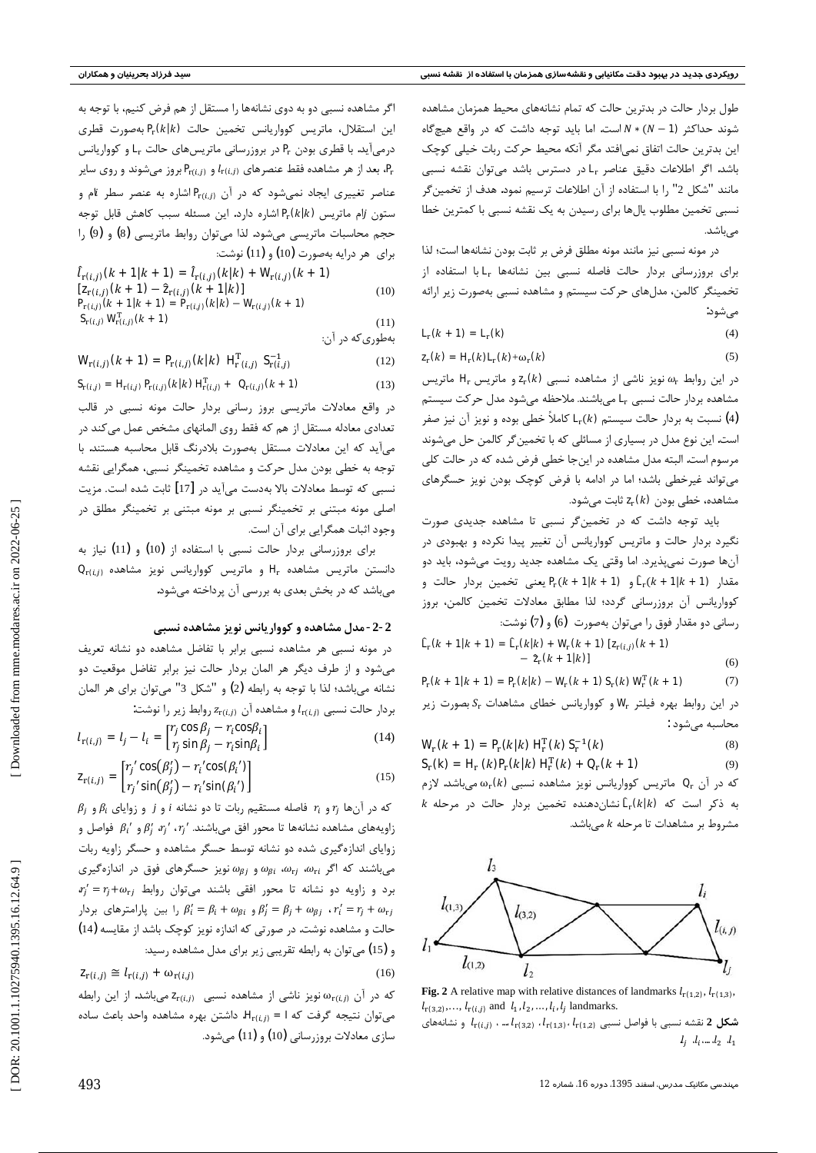طول بردار حالت در بدترین حالت که تمام نشانههای محیط همزمان مشاهده شوند حداکثر (1 – N \* (N – 1) است. اما باید توجه داشت که در واقع هیچگاه این بدترین حالت اتفاق نمی|فتد مگر آنکه محیط حرکت ربات خیلی کوچک باشد. اگر اطلاعات دقیق عناصر Lr⊾در دسترس باشد میتوان نقشه نسبی مانند "شكل 2" را با استفاده از آن اطلاعات ترسيم نمود. هدف از تخمين گر نسبی تخمین مطلوب یالها برای رسیدن به یک نقشه نسبی با کمترین خطا مے باشد.

در مونه نسبی نیز مانند مونه مطلق فرض بر ثابت بودن نشانهها است؛ لذا برای بروزرسانی بردار حالت فاصله نسبی بین نشانهها <sub>■</sub>∎با استفاده از تخمینگر کالمن، مدلهای حرکت سیستم و مشاهده نسبی بهصورت زیر ارائه مىشود:

$$
L_{\mathbf{r}}(\mathbf{k} + \mathbf{1}) = \mathbf{L}_{\mathbf{r}}(\mathbf{k}) \tag{4}
$$

 $(5)$ 

$$
\mathbf{z}_{r}(k) = \mathbf{H}_{r}(k)\mathbf{L}_{r}(k) + \omega_{r}(k)
$$

 $\mathbf{H}_{\rm r}$  در این روابط  $\omega_{\rm r}$  نویز ناشی از مشاهده نسبی  $\mathbf{z}_{\rm r}$ و ماتریس  $\mathbf{H}_{\rm r}$  ماتریس مشاهده بردار حالت نسبي L<sub>r</sub> مي باشند. ملاحظه مي شود مدل حركت سيستم نسبت به بردار حالت سیستم  $\mathbf{L}_\mathrm{r}(k)$  کاملاً خطی بوده و نویز آن نیز صفر (4) است. این نوع مدل در بسیاری از مسائلی که با تخمین گر کالمن حل میشوند مرسوم است. البته مدل مشاهده در اینجا خطی فرض شده که در حالت کلی می تواند غیرخطی باشد؛ اما در ادامه با فرض کوچک بودن نویز حسگرهای مشاهده، خطی بودن  $\mathsf{z}_\mathrm{r}$  ثابت میشود.

باید توجه داشت که در تخمینگر نسبی تا مشاهده جدیدی صورت نگیرد بردار حالت و ماتریس کوواریانس آن تغییر پیدا نکرده و بهبودی در آنها صورت نمی پذیرد. اما وقتی یک مشاهده جدید رویت میشود، باید دو و **11 + 4 + 0) Fr**(k + 1 + 0) و Pr(k + 1 + x) بعني تخمين بردار حالت و کوواریانس آن بروزرسانی گردد؛ لذا مطابق معادلات تخمین کالمن، بروز رسانی دو مقدار فوق را میتوان بهصورت (6) و (7) نوشت:

 $\hat{\mathbf{L}}_{\rm r}(k + 1|k + 1) = \hat{\mathbf{L}}_{\rm r}(k|k) + \mathbf{W}_{\rm r}(k + 1) [\mathbf{z}_{\rm r(i,j)}(k + 1)]$  $-2(k+1)$  $(6)$ 

 $P_r(k + 1|k + 1) = P_r(k|k) - W_r(k + 1) S_r(k) W_r^T(k + 1)$  $(7)$ 

در این روابط بهره فیلتر  $\mathbf{W}_{\rm r}$  و کوواریانس خطای مشاهدات  $\mathcal{S}_{\rm r}$  بصورت زیر محاسبه می شود :

 $W_r(k + 1) = P_r(k|k) H_r^T(k) S_r^{-1}(k)$  $(8)$  $S_r(k) = H_r(k)P_r(k|k) H_r^T(k) + Q_r(k+1)$  $(9)$ 

که در آن ، $\mathbf{Q}_\mathrm{r}$  ماتریس کوواریانس نویز مشاهده نسبی  $\mathbf{\mathcal{Q}}_\mathrm{r}$  میباشد. لازم  $k$  به ذکر است که  $\mathbf{f}_r(k|k)$ نشاندهنده تخمین بردار حالت در مرحله مشروط بر مشاهدات تا مرحله k میباشد.



Fig. 2 A relative map with relative distances of landmarks  $l_{r(1,2)}, l_{r(1,3)}$  $l_{\mathbf{r}(3,2)}, \ldots, l_{\mathbf{r}(i,j)}$  and  $l_1, l_2, \ldots, l_i, l_j$  landmarks. شکل 2 نقشه نسبی با فواصل نسبی  $l_{\mathbf{r(1,2)}}$ ،  $l_{\mathbf{r(1,2)}}$ ،  $l_{\mathbf{r(1,3)}}$ ، اس و نشانههای  $l_i$ ,  $l_i$ ,  $l_2$ ,  $l_1$ 

اگر مشاهده نسبی دو به دوی نشانهها را مستقل از هم فرض کنیم، با توجه به این استقلال، ماتریس کوواریانس تخمین حالت  $\mathbf{P}_r \mathbf{G}$  بهصورت قطری درمیآید. با قطری بودن Pr در بروزرسانی ماتریسهای حالت Lr و کوواریانس بعد از هر مشاهده فقط عنصرهای  $l_{\mathbf{r}(i,j)}$  و  $\mathbf{P}_{\mathbf{r}(i,j)}$  بروز میشوند و روی سایر  $\mathbf{P}_{\mathbf{r}}$ عناصر تغییری ایجاد نمی شود که در آن Pr(i, ) اشاره به عنصر سطر ilم و ستون *آ*ام ماتریس Pr (k |k) اشاره دارد. این مسئله سبب کاهش قابل توجه حجم محاسبات ماتریسی میشود. لذا می توان روابط ماتریسی (8) و (9) را برای هر درایه بهصورت (10) و (11) نوشت:

$$
\hat{l}_{\Gamma(i,j)}(k+1|k+1) = \hat{l}_{\Gamma(i,j)}(k|k) + W_{\Gamma(i,j)}(k+1)
$$
\n
$$
[\mathbf{Z}_{\Gamma(i,j)}(k+1) - \hat{\mathbf{Z}}_{\Gamma(i,j)}(k+1|k)]
$$
\n
$$
\mathbf{P}_{\Gamma(i,j)}(k+1|k+1) = \mathbf{P}_{\Gamma(i,j)}(k|k) - W_{\Gamma(i,j)}(k+1)
$$
\n
$$
\mathbf{S}_{\Gamma(i,j)}(k|k+1)
$$
\n(11)

 $(11)$ بهطوری که در آن:

$$
\mathbf{W}_{\Gamma(i,j)}(k+1) = \mathbf{P}_{\Gamma(i,j)}(k|k) \mathbf{H}_{\Gamma(i,j)}^{\mathrm{T}} \mathbf{S}_{\Gamma(i,j)}^{-1} \tag{12}
$$

$$
\mathbf{S}_{\mathrm{r}(i,j)} = \mathbf{H}_{\mathrm{r}(i,j)} \, \mathbf{P}_{\mathrm{r}(i,j)}(k \mid k) \, \mathbf{H}_{\mathrm{r}(i,j)}^{\mathrm{T}} + \mathbf{Q}_{\mathrm{r}(i,j)}(k+1) \tag{13}
$$

در واقع معادلات ماتریسی بروز رسانی بردار حالت مونه نسبی در قالب تعدادی معادله مستقل از هم که فقط روی المانهای مشخص عمل می کند در می آید که این معادلات مستقل بهصورت بلادرنگ قابل محاسبه هستند. با توجه به خطی بودن مدل حرکت و مشاهده تخمینگر نسبی، همگرایی نقشه نسبی که توسط معادلات بالا بهدست می آید در [17] ثابت شده است. مزیت اصلی مونه مبتنی بر تخمینگر نسبی بر مونه مبتنی بر تخمینگر مطلق در وجود اثبات همگرایی برای آن است.

برای بروزرسانی بردار حالت نسبی با استفاده از (10) و (11) نیاز به  $\mathbf{Q}_{\text{r}(i,j)}$  دانستن ماتریس مشاهده  $\mathbf{H}_{\text{r}}$  و ماتریس کوواریانس نویز مشاهده میباشد که در بخش بعدی به بررسی آن پرداخته میشود.

#### 2-2- مدل مشاهده و کوواریانس نویز مشاهده نسبی

در مونه نسبی هر مشاهده نسبی برابر با تفاضل مشاهده دو نشانه تعریف می شود و از طرف دیگر هر المان بردار حالت نیز برابر تفاضل موقعیت دو نشانه میباشد؛ لذا با توجه به رابطه (2) و "شكل 3" میتوان برای هر المان  $l_{\rm r(i,j)}$ بردار حالت نسبی  $l_{\rm r(i,j)}$  و مشاهده آن  $z_{\rm r(i,j)}$  روابط زیر را نوشت:

$$
l_{\mathbf{r}(i,j)} = l_j - l_i = \begin{bmatrix} r_j \cos \beta_j - r_i \cos \beta_i \\ r_j \sin \beta_j - r_i \sin \beta_i \end{bmatrix}
$$
(14)

$$
\mathbf{z}_{\mathbf{r}(i,j)} = \begin{bmatrix} r_j' \cos(\beta_j') - r_i' \cos(\beta_i') \\ r_j' \sin(\beta_j') - r_i' \sin(\beta_i') \end{bmatrix}
$$
(15)

 $\beta_i$  که در آنها  $r_i$  و  $r_i$  فاصله مستقیم ربات تا دو نشانه  $i$  و  $i$  و زوایای  $\beta_i$  و  $\beta_i$ زاویههای مشاهده نشانهها تا محور افق میباشند.  $\beta'_i$  ،  $\beta'_j$  ،  $\beta'_i$  و  $\beta'_i$  فواصل و زوایای اندازهگیری شده دو نشانه توسط حسگر مشاهده و حسگر زاویه ربات  $\omega_{\rm g}$ میباشند که اگر  $\omega_{\rm r}$ ،  $\omega_{\rm g}$ ، و  $\omega_{\rm g}$  نویز حسگرهای فوق در اندازهگیری  $r'_j = r_j + \omega_{rj}$  برد و زاویه دو نشانه تا محور افقی باشند میتوان روابط  $\beta_i = \beta_i + \omega_{\beta i}$ و  $\beta_i' = \beta_i + \omega_{\beta i}$  را بین پارامترهای بردار  $r_i' = r_i + \omega_{r_i}$ حالت و مشاهده نوشت. در صورتی که اندازه نویز کوچک باشد از مقایسه (14) و (15) میتوان به رابطه تقریبی زیر برای مدل مشاهده رسید:

$$
C_{\mathbf{r}}(\mathbf{t}_{i,j}) \cong l_{\mathbf{r}}(\mathbf{t}_{i,j}) + \omega_{\mathbf{r}}(\mathbf{t}_{i,j})
$$
\n(16)

که در آن  $\omega_{r(i,0)}$  نویز ناشی از مشاهده نسبی  $z_{r(i,0)}$  میباشد. از این رابطه میتوان نتیجه گرفت که ا = [ $\mathbf{H}_{r(i,j)}$ . داشتن بهره مشاهده واحد باعث ساده سازی معادلات بروزرسانی (10) و (11) میشود.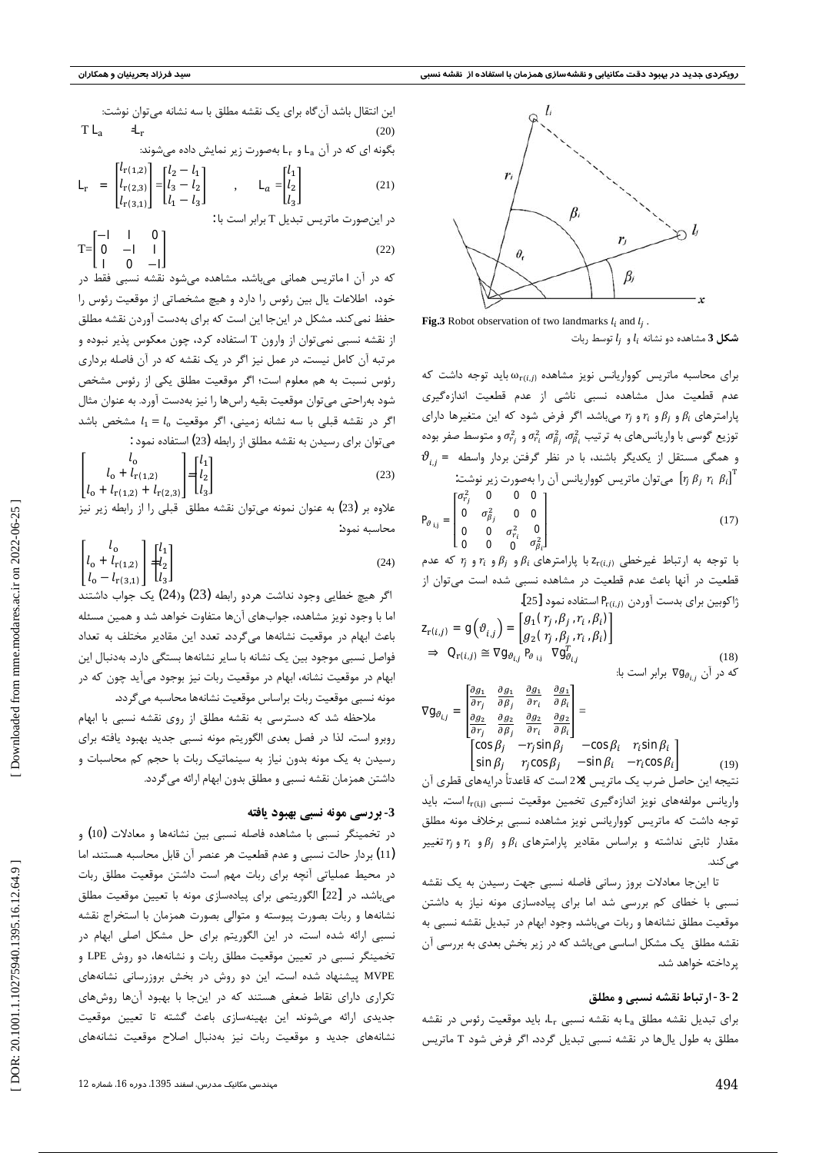

**Fig.3** Robot observation of two landmarks  $l_i$  and  $l_j$ .

 $l_i$  شکل 3 مشاهده دو نشانه  $l_i$  و  $l_i$  توسط ربات

 $\alpha_{r(i,j)}$ برای محاسبه ماتریس کوواریانس نویز مشاهده  $\alpha_{r(i,j)}$  باید توجه داشت که عدم قطعیت مدل مشاهده نسبی ناشی از عدم قطعیت اندازهگیری پارامترهای  $\beta_i$  و  $r_i$  و  $r_i$  و  $r_j$  میباشد. اگر فرض شود که این متغیرها دارای توزیع گوسی با واریانسهای به ترتیب  $\sigma_{h_l}^2$  ،  $\sigma_{h_l}^2$  و  $\sigma_{r_l}^2$  و متوسط صفر بوده  $\vartheta_{ij}$  و همگی مستقل از یکدیگر باشند، با در نظر گرفتن بردار واسطه  $\vartheta_{ij}$ میتوان ماتریس کوواریانس آن را بهصورت زیر نوشت:  $\left[r_{j} \ \beta_{j} \ r_{i} \ \beta_{i}\right]^{\mathrm{T}}$ 

$$
\mathbf{P}_{\theta_{i,j}} = \begin{bmatrix} \sigma_{r_j}^2 & \mathbf{0} & \mathbf{0} & \mathbf{0} \\ \mathbf{0} & \sigma_{\beta_j}^2 & \mathbf{0} & \mathbf{0} \\ \mathbf{0} & \mathbf{0} & \sigma_{r_i}^2 & \mathbf{0} \\ \mathbf{0} & \mathbf{0} & \mathbf{0} & \sigma_{\beta_i}^2 \end{bmatrix}
$$
 (17)

با توجه به ارتباط غیرخطی  $\mathbf{z}_{r(i,j)}$ با پارامترهای  $\beta_i$  و  $\beta_i$  و  $r_i$  و  $r_j$  که عدم قطعیت در آنها باعث عدم قطعیت در مشاهده نسبی شده است میتوان از ژاکوبین برای بدست آوردن  $\mathbf{P}_{\mathrm{r}(i,\mathbf{0})}$  استفاده نمود [25].

$$
\mathbf{z}_{\mathbf{r}(i,j)} = \mathbf{g}\left(\vartheta_{i,j}\right) = \begin{bmatrix} g_1(\mathbf{r}_j, \beta_j, r_i, \beta_i) \\ g_2(\mathbf{r}_j, \beta_j, r_i, \beta_i) \end{bmatrix} \n\Rightarrow \mathbf{Q}_{\mathbf{r}(i,j)} \cong \nabla \mathbf{g}_{\vartheta_{i,j}} \mathbf{P}_{\vartheta_{i,j}} \nabla \mathbf{g}_{\vartheta_{i,j}}^T
$$
\n(18)

$$
\nabla \mathbf{g}_{\theta_{i,j}} = \begin{bmatrix} \frac{\partial g_1}{\partial r_j} & \frac{\partial g_1}{\partial \beta_j} & \frac{\partial g_1}{\partial r_i} & \frac{\partial g_1}{\partial \beta_i} \\ \frac{\partial g_2}{\partial r_j} & \frac{\partial g_2}{\partial \beta_j} & \frac{\partial g_2}{\partial r_i} & \frac{\partial g_2}{\partial \beta_i} \end{bmatrix} = \begin{bmatrix} \cos \beta_i & \cos \beta_i & r_i \sin \beta_i \\ \cos \beta_j & -r_j \sin \beta_j & -\cos \beta_i & r_i \sin \beta_i \\ \sin \beta_i & r_i \cos \beta_i & -\sin \beta_i & -r_i \cos \beta_i \end{bmatrix}
$$

نتیجه این حاصل ضرب یک ماتریس 2×2 است که قاعدتاً درایههای قطری آن واریانس مولفههای نویز اندازهگیری تخمین موقعیت نسبی  $l_{r(i,j)}$ است. باید توجه داشت که ماتریس کوواریانس نویز مشاهده نسبی برخلاف مونه مطلق مقدار ثابتی نداشته و براساس مقادیر پارامترهای  $\beta_i$ و  $\beta_i$ و  $r_i$  و تغییر مى كند.

تا اینجا معادلات بروز رسانی فاصله نسبی جهت رسیدن به یک نقشه نسبی با خطای کم بررسی شد اما برای پیادهسازی مونه نیاز به داشتن موقعیت مطلق نشانهها و ربات میباشد. وجود ابهام در تبدیل نقشه نسبی به .<br>نقشه مطلق یک مشکل اساسی میباشد که در زیر بخش بعدی به بررسی آن پر داخته خواهد شد.

#### 2-3- ارتباط نقشه نسبي و مطلق

برای تبدیل نقشه مطلق L<sub>a</sub> به نقشه نسبی L<sub>r</sub> باید موقعیت رئوس در نقشه مطلق به طول یالها در نقشه نسبی تبدیل گردد. اگر فرض شود T ماتریس

انین انتقال باشد آن گاه برای یک نقشه مطلق با سه نشانه میتوان نوشت:  
\n
$$
\mathbf{T} \mathbf{L}_{a} \quad \mathbf{=} \mathbf{L}_{r}
$$
\n(20)  
\n
$$
\mathbf{L}_{r} = \begin{bmatrix} l_{r(1,2)} \\ l_{r(2,3)} \\ l_{r(3,1)} \end{bmatrix} = \begin{bmatrix} l_{2} - l_{1} \\ l_{3} - l_{2} \\ l_{1} - l_{3} \end{bmatrix}, \quad \mathbf{L}_{a} = \begin{bmatrix} l_{1} \\ l_{2} \\ l_{3} \end{bmatrix}
$$
\n(21)

در اینصورت ماتریس تبدیل T برابر است با :

$$
T = \begin{bmatrix} -1 & 1 & 0 \\ 0 & -1 & 1 \\ 1 & 0 & -1 \end{bmatrix}
$$
 (22)

که در آن ∎ماتریس همانی میباشد. مشاهده میشود نقشه نسبی فقط در خود، اطلاعات یال بین رئوس را دارد و هیچ مشخصاتی از موقعیت رئوس را حفظ نمی کند. مشکل در اینجا این است که برای بهدست آوردن نقشه مطلق از نقشه نسبی نمیتوان از وارون T استفاده کرد، چون معکوس پذیر نبوده و مرتبه آن کامل نیست. در عمل نیز اگر در یک نقشه که در آن فاصله برداری رئوس نسبت به هم معلوم است؛ اگر موقعیت مطلق یکی از رئوس مشخص شود بهراحتی می توان موقعیت بقیه راسها را نیز بهدست آورد. به عنوان مثال اگر در نقشه قبلی با سه نشانه زمینی، اگر موقعیت  $l_1 = l_0$  مشخص باشد می توان برای رسیدن به نقشه مطلق از رابطه (23) استفاده نمود :

$$
\begin{bmatrix} l_0 \\ l_0 + l_{\rm r(1,2)} \\ l_0 + l_{\rm r(1,2)} + l_{\rm r(2,3)} \end{bmatrix} = \begin{bmatrix} l_1 \\ l_2 \\ l_3 \end{bmatrix}
$$
 (23)

علاوه بر (23) به عنوان نمونه میتوان نقشه مطلق قبلی را از رابطه زیر نیز محاسبه نمود:

$$
\begin{bmatrix} l_0 \\ l_0 + l_{\rm r}(1,2) \\ l_0 - l_{\rm r}(3,1) \end{bmatrix} = \begin{bmatrix} l_1 \\ l_2 \\ l_3 \end{bmatrix}
$$
 (24)

اگر هیچ خطایی وجود نداشت هردو رابطه (23) و(24) یک جواب داشتند اما با وجود نویز مشاهده، جوابهای آنها متفاوت خواهد شد و همین مسئله باعث ابهام در موقعیت نشانهها میگردد. تعدد این مقادیر مختلف به تعداد فواصل نسبی موجود بین یک نشانه با سایر نشانهها بستگی دارد. بهدنبال این ابهام در موقعیت نشانه، ابهام در موقعیت ربات نیز بوجود میآید چون که در مونه نسبی موقعیت ربات براساس موقعیت نشانهها محاسبه می گردد.

ملاحظه شد که دسترسی به نقشه مطلق از روی نقشه نسبی با ابهام روبرو است. لذا در فصل بعدي الگوريتم مونه نسبي جديد بهبود يافته براي رسیدن به یک مونه بدون نیاز به سینماتیک ربات با حجم کم محاسبات و داشتن همزمان نقشه نسبی و مطلق بدون ابهام ارائه می گردد.

#### 3- بررسي مونه نسبي بهبود يافته

در تخمینگر نسبی با مشاهده فاصله نسبی بین نشانهها و معادلات (10) و (11) بردار حالت نسبی و عدم قطعیت هر عنصر آن قابل محاسبه هستند. اما در محیط عملیاتی آنچه برای ربات مهم است داشتن موقعیت مطلق ربات می باشد. در [22] الگوریتمی برای پیادهسازی مونه با تعیین موقعیت مطلق نشانهها و ربات بصورت پیوسته و متوالی بصورت همزمان با استخراج نقشه نسبی ارائه شده است. در این الگوریتم برای حل مشکل اصلی ابهام در تخمینگر نسبی در تعیین موقعیت مطلق ربات و نشانهها، دو روش LPE و MVPE پیشنهاد شده است. این دو روش در بخش بروزرسانی نشانههای تکراری دارای نقاط ضعفی هستند که در اینجا با بهبود آنها روشهای جدیدی ارائه میشوند. این بهینهسازی باعث گشته تا تعیین موقعیت نشانههای جدید و موقعیت ربات نیز بهدنبال اصلاح موقعیت نشانههای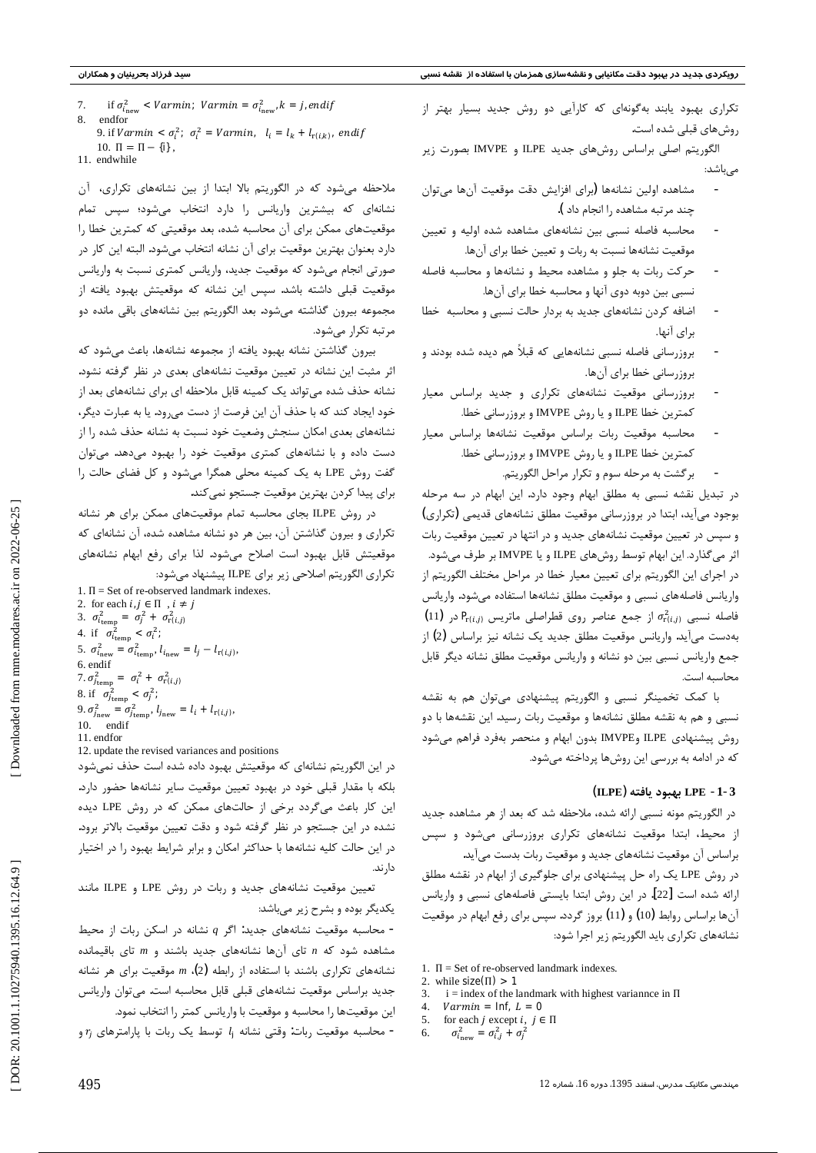تکراری بهبود یابند بهگونهای که کارآیی دو روش جدید بسیار بهتر از روشهای قبلی شده است.

الگوریتم اصلی براساس روشهای جدید ILPE و IMVPE بصورت زیر مىباشد:

- مشاهده اولین نشانهها (برای افزایش دقت موقعیت آنها می توان چند مرتبه مشاهده ,ا انجام داد ).
- محاسبه فاصله نسبى بين نشانههاى مشاهده شده اوليه وتعيين موقعیت نشانهها نسبت به ربات و تعیین خطا برای آنها.
- حركت ربات به جلو و مشاهده محيط و نشانهها و محاسبه فاصله نسبی بین دوبه دوی آنها و محاسبه خطا برای آنها.
- اضافه کردن نشانههای جدید به بردار حالت نسبی و محاسبه خطا براي آنها.
- بروزرسانی فاصله نسبی نشانههایی که قبلاً هم دیده شده بودند و بروزرساني خطا براي آنها.
- بروزرسانی موقعیت نشانههای تکراری و جدید براساس معیار كمترين خطا ILPE و يا روش IMVPE و بروزرساني خطا.
- محاسبه موقعیت ربات براساس موقعیت نشانهها براساس معیار كمترين خطا ILPE و يا روش IMVPE و بروزرساني خطا.
	- بر گشت به مرحله سوم و تکرار مراحل الگوریتم.

در تبدیل نقشه نسبی به مطلق ابهام وجود دارد. این ابهام در سه مرحله بوجود میآید، ابتدا در بروزرسانی موقعیت مطلق نشانههای قدیمی (تکراری) و سپس در تعیین موقعیت نشانههای جدید و در انتها در تعیین موقعیت ربات اثر می گذارد. این ابهام توسط روشهای ILPE و یا IMVPE بر طرف میشود. در اجراي اين الگوريتم براي تعيين معيار خطا در مراحل مختلف الگوريتم از واريانس فاصلههاى نسبى و موقعيت مطلق نشانهها استفاده مىشود. واريانس  $(11)$  فاصله نسبی  $\sigma_{\rm r(G_i)}^2$  از جمع عناصر روی قطراصلی ماتریس  $P_{\rm r(G_i)}$  در بهدست میآید. واریانس موقعیت مطلق جدید یک نشانه نیز براساس (2) از جمع واریانس نسبی بین دو نشانه و واریانس موقعیت مطلق نشانه دیگر قابل محاسىه است.

با کمک تخمینگر نسبی و الگوریتم پیشنهادی میتوان هم به نقشه نسبی و هم به نقشه مطلق نشانهها و موقعیت ربات رسید. این نقشهها با دو روش پیشنهادی ILPE وIMVPE بدون ابهام و منحصر بهفرد فراهم میشود که در ادامه به بررسی این روشها پرداخته میشود.

#### LPE -1-3 بهبود بافته (ILPE)

در الگوريتم مونه نسبي ارائه شده، ملاحظه شد كه بعد از هر مشاهده جديد از محیط، ابتدا موقعیت نشانههای تکراری بروزرسانی میشود و سپس براساس آن موقعیت نشانههای جدید و موقعیت ربات بدست میآید.

در روش LPE یک راه حل پیشنهادی برای جلوگیری از ابهام در نقشه مطلق ارائه شده است [22]. در این روش ابتدا بایستی فاصلههای نسبی و واریانس آنها براساس روابط (10) و (11) بروز گردد. سپس برای رفع ابهام در موقعیت نشانههای تکراری باید الگوریتم زیر اجرا شود:

- 1.  $\Pi$  = Set of re-observed landmark indexes.
- 2. while  $size(\Pi) > 1$
- 3.  $i =$  index of the landmark with highest variannce in  $\Pi$
- $\overline{4}$  $Varmin = Inf, L = 0$  $\sim$
- for each *j* except *i*,  $j \in \Pi$  $\sigma_{i_{\rm new}}^2 = \sigma_{i,j}^2 + \sigma_i^2$ 6
- 

ملاحظه می شود که در الگوریتم بالا ابتدا از بین نشانههای تکراری، آن نشانهای که بیشترین واریانس را دارد انتخاب میشود؛ سپس تمام موقعیتهای ممکن برای آن محاسبه شده، بعد موقعیتی که کمترین خطا را دارد بعنوان بهترین موقعیت برای آن نشانه انتخاب می شود. البته این کار در صورتی انجام میشود که موقعیت جدید، واریانس کمتری نسبت به واریانس موقعیت قبلی داشته باشد. سپس این نشانه که موقعیتش بهبود یافته از مجموعه بیرون گذاشته میشود. بعد الگوریتم بین نشانههای باقی مانده دو مرتبه تکرار میشود.

بيرون گذاشتن نشانه بهبود يافته از مجموعه نشانهها، باعث مىشود كه اثر مثبت این نشانه در تعیین موقعیت نشانههای بعدی در نظر گرفته نشود. نشانه حذف شده میتواند یک کمینه قابل ملاحظه ای برای نشانههای بعد از خود ایجاد کند که با حذف آن این فرصت از دست میرود. یا به عبارت دیگر، نشانههای بعدی امکان سنجش وضعیت خود نسبت به نشانه حذف شده را از دست داده و با نشانههای کمتری موقعیت خود را بهبود میدهد. میتوان گفت روش LPE به یک کمینه محلی همگرا می شود و کل فضای حالت را براي پيدا كردن بهترين موقعيت جستجو نمي كند.

در روش ILPE بجای محاسبه تمام موقعیتهای ممکن برای هر نشانه تکراری و بیرون گذاشتن آن، بین هر دو نشانه مشاهده شده، آن نشانهای که موقعیتش قابل بهبود است اصلاح میشود. لذا برای رفع ابهام نشانههای تكراري الگوريتم اصلاحي زير براي ILPE پيشنهاد مي شود:

1.  $\Pi$  = Set of re-observed landmark indexes. 2. for each  $i, j \in \Pi$ ,  $i \neq j$ 3.  $\sigma_{i_{\text{temp}}}^2 = \sigma_j^2 + \sigma_{\text{r}(i,j)}^2$ 4. if  $\sigma_{i_{\text{temp}}}^2 < \sigma_i^2$ ; 5.  $\sigma_{i_{\text{new}}}^2 = \sigma_{i_{\text{temp}}}^2$ ,  $l_{i_{\text{new}}} = l_j - l_{\text{r}(i,j)}$ , 6. endif 7.  $\sigma_{j_{\text{temp}}}^2 = \sigma_i^2 + \sigma_{\text{r}(i,j)}^2$ 8. if  $\sigma_{j_{\text{temp}}}^2 < \sigma_j^2$ ; 9.  $\sigma_{j_{\text{new}}}^2 = \sigma_{j_{\text{temp}}}^2$ ,  $l_{j_{\text{new}}} = l_i + l_{\text{r}(i,j)}$ . 10. endif 11. endfor

12. update the revised variances and positions

در این الگوریتم نشانهای که موقعیتش بهبود داده شده است حذف نمیشود بلکه با مقدار قبلی خود در بهبود تعیین موقعیت سایر نشانهها حضور دارد. این کار باعث میگردد برخی از حالتهای ممکن که در روش LPE دیده نشده در این جستجو در نظر گرفته شود و دقت تعیین موقعیت بالاتر برود. در این حالت کلیه نشانهها با حداکثر امکان و برابر شرایط بهبود را در اختیار دار ند.

تعیین موقعیت نشانههای جدید و ربات در روش LPE و ILPE مانند یکدیگر بوده و بشرح زیر میباشد:

 $-$  محاسبه موقعیت نشانههای جدید: اگر  $q$  نشانه در اسکن ربات از محیط مشاهده شود که n تای آنها نشانههای جدید باشند و m تای باقیمانده نشانههای تکراری باشند با استفاده از رابطه (2)، m موقعیت برای هر نشانه جدید براساس موقعیت نشانههای قبلی قابل محاسبه است. میتوان واریانس این موقعیتها را محاسبه و موقعیت با واریانس کمتر را انتخاب نمود.

- محاسبه موقعیت ربات: وقتی نشانه  $l_i$  توسط یک ربات با پارامترهای  $r_i$  و

495

DOR: 20.1001.1.10275940.1395.16.12.64.9

if  $\sigma_{i_{\text{new}}}^2$  < Varmin; Varmin =  $\sigma_{i_{\text{new}}}^2$ ,  $k = j$ , endif  $\tau$ 8 endfor

<sup>9.</sup> if  $Varmin < \sigma_i^2$ ;  $\sigma_i^2 = Varmin$ ,  $l_i = l_k + l_{\text{r}(i,k)}$ , endif 10.  $\Pi = \Pi - \{i\}$ ,

<sup>11</sup> endwhile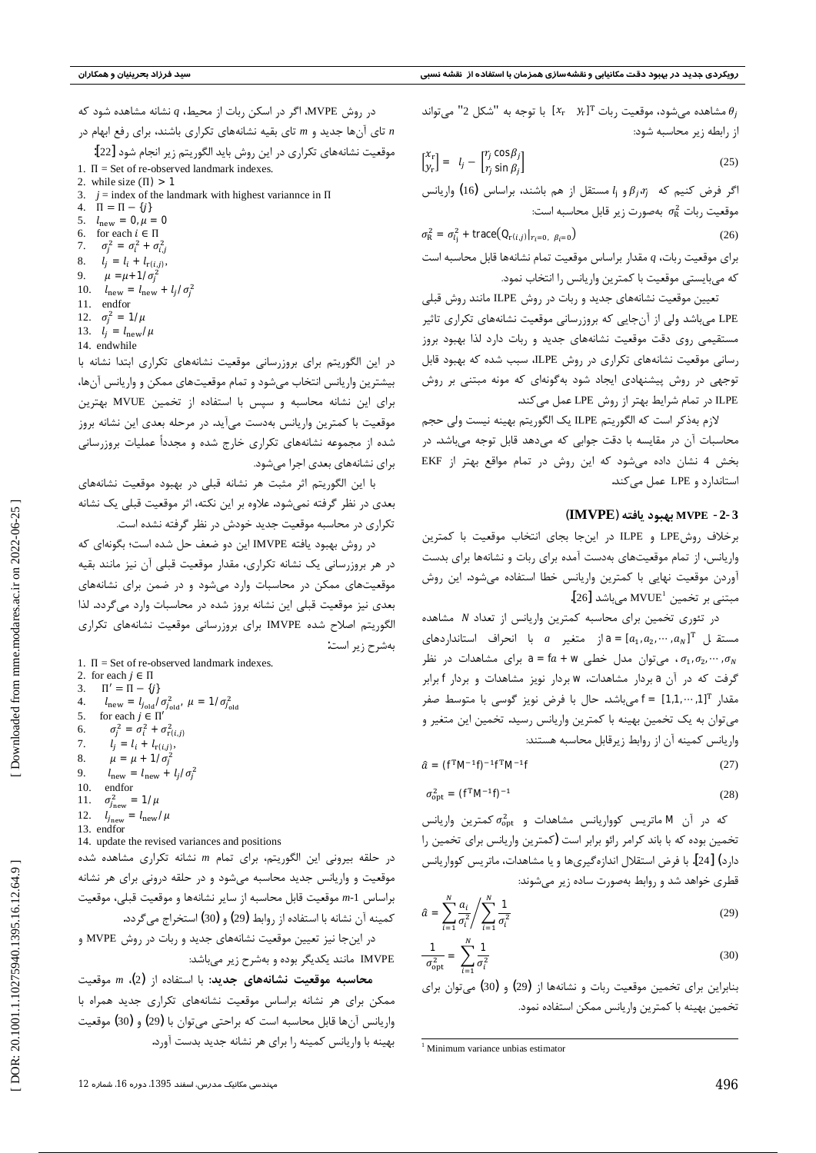در روش MVPE، اگر در اسکن ربات از محیط،  $q$  نشانه مشاهده شود که

تای آنها جدید و m تای بقیه نشانههای تکراری باشند، برای رفع ابهام در  $n$ موقعیت نشانههای تکراری در این روش باید الگوریتم زیر انجام شود [22]:

- 1.  $\Pi$  = Set of re-observed landmark indexes.
- 2. while size  $(\Pi) > 1$
- 3.  $j =$  index of the landmark with highest variannce in  $\Pi$
- 4.  $\Pi = \Pi {j \choose i}$
- 5.  $l_{\text{new}} = 0, \mu = 0$
- 6. for each  $i \in \Pi$
- $\sigma_i^2 = \sigma_i^2 + \sigma_{i,j}^2$ 7.
- $l_i = l_i + l_{\text{r}(i_i j)},$ 8.
- 9.  $\mu = \mu + 1/\sigma_i^2$
- 10.  $l_{\text{new}} = l_{\text{new}} + l_j \mathbf{I} \sigma_j^2$
- 11. endfor
- 12.  $\sigma_i^2 = 1/\mu$
- 13.  $l_i = l_{\text{new}} / \mu$
- 14. endwhile

در این الگوریتم برای بروزرسانی موقعیت نشانههای تکراری ابتدا نشانه با بیشترین واریانس انتخاب میشود و تمام موقعیتهای ممکن و واریانس آنها، برای این نشانه محاسبه و سیس با استفاده از تخمین MVUE بهترین موقعیت با کمترین واریانس بهدست میآید. در مرحله بعدی این نشانه بروز شده از مجموعه نشانههای تکراری خارج شده و مجدداً عملیات بروزرسانی برای نشانههای بعدی اجرا میشود.

با این الگوریتم اثر مثبت هر نشانه قبلی در بهبود موقعیت نشانههای بعدی در نظر گرفته نمیشود. علاوه بر این نکته، اثر موقعیت قبلی یک نشانه تکراری در محاسبه موقعیت جدید خودش در نظر گرفته نشده است.

در روش بهبود يافته IMVPE اين دو ضعف حل شده است؛ بگونهاي كه در هر بروزرسانی یک نشانه تکراری، مقدار موقعیت قبلی آن نیز مانند بقیه موقعیتهای ممکن در محاسبات وارد میشود و در ضمن برای نشانههای بعدی نیز موقعیت قبلی این نشانه بروز شده در محاسبات وارد میگردد. لذا الگوریتم اصلاح شده IMVPE برای بروزرسانی موقعیت نشانههای تکراری بەشرح زير است:

1.  $\Pi$  = Set of re-observed landmark indexes.

2. for each  $j \in \Pi$ 3.  $\Pi' = \Pi - {j \choose j}$  $l_{\text{new}} = l_{j_{\text{old}}} \tilde{\boldsymbol{I}} \sigma_{j_{\text{old}}}^2$ ,  $\mu = \mathbf{1} \tilde{\boldsymbol{I}} \sigma_{j_{\text{old}}}^2$ <br>for each  $j \in \Pi'$  $\overline{4}$ .  $\sim$  $\sigma_i^2 = \sigma_i^2 + \sigma_{\text{r}(i,j)}^2$ 6.  $l_i = l_i + l_{\text{r}(i,j)}$ 7.  $\mu = \mu + 1/\sigma^2$ 8.  $\mathbf{Q}$  $l_{\text{new}} = l_{\text{new}} + l_j \boldsymbol{I} \sigma_j^2$ 10. endfor  $\sigma_{j_{\rm new}}^2 = 1/\mu$  $11.$  $12.$  $l_{j_{\text{new}}} = l_{\text{new}} \mathbf{1} \mu$ 13. endfor

14. update the revised variances and positions

در حلقه بیرونی این الگوریتم، برای تمام m نشانه تکراری مشاهده شده موقعیت و واریانس جدید محاسبه میشود و در حلقه درونی برای هر نشانه براساس 1-m موقعيت قابل محاسبه از ساير نشانهها و موقعيت قبلى، موقعيت كمينه آن نشانه با استفاده از روابط (29) و (30) استخراج مي گردد.

در اینجا نیز تعیین موقعیت نشانههای جدید و ربات در روش MVPE و IMVPE مانند یکدیگر بوده و بهشرح زیر میباشد:

محاسبه موقعیت نشانههای جدید: با استفاده از (2)، m موقعیت ممکن برای هر نشانه براساس موقعیت نشانههای تکراری جدید همراه با واريانس آنها قابل محاسبه است كه براحتى مى توان با (29) و (30) موقعيت بهینه با واریانس کمینه را برای هر نشانه جدید بدست آورد. با توجه به "شكل 2" مشاهده مى شود، موقعيت ربات " $x_r$  7" با توجه به "شكل 2" مى تواند  $\theta_j$ از رابطه زیر محاسبه شود:

$$
\begin{bmatrix} x_r \\ y_r \end{bmatrix} = l_j - \begin{bmatrix} r_j \cos \beta_j \\ r_j \sin \beta_j \end{bmatrix}
$$
 (25)

اگر فرض کنیم که  $\beta_i$ 6 و  $l_i$ مستقل از هم باشند، براساس (16) واریانس موقعیت ربات  $\sigma_{\rm R}^2$  بهصورت زیر قابل محاسبه است:

$$
\sigma_{\rm R}^2 = \sigma_{l_i}^2 + \text{trace}(\mathbf{Q}_{\mathbf{r}(i,j)}|_{r_i=0, \ \beta_i=0})
$$
 (26)

برای موقعیت ربات،  $q$  مقدار براساس موقعیت تمام نشانهها قابل محاسبه است که میبایستی موقعیت با کمترین واریانس را انتخاب نمود.

تعیین موقعیت نشانههای جدید و ربات در روش ILPE مانند روش قبلی LPE میباشد ولی از آنجایی که بروزرسانی موقعیت نشانههای تکراری تاثیر مستقیمی روی دقت موقعیت نشانههای جدید و ربات دارد لذا بهبود بروز رسانی موقعیت نشانههای تکراری در روش ILPE، سبب شده که بهبود قابل توجهی در روش پیشنهادی ایجاد شود بهگونهای که مونه مبتنی بر روش ILPE در تمام شرایط بهتر از روش LPE عمل میکند.

لازم بهذكر است كه الگوريتم ILPE يك الگوريتم بهينه نيست ولي حجم محاسبات آن در مقایسه با دقت جوابی که میدهد قابل توجه میباشد. در بخش 4 نشان داده می شود که این روش در تمام مواقع بهتر از EKF استاندارد و LPE عمل می کند.

#### MVPE -2-3 بهبود يافته (IMVPE)

برخلاف روشLPE و ILPE در این جا بجای انتخاب موقعیت با کمترین واریانس، از تمام موقعیتهای بهدست آمده برای ربات و نشانهها برای بدست آوردن موقعیت نهایی با کمترین واریانس خطا استفاده میشود. این روش مبتنی بر تخمین 'MVUE میباشد [26].

در تئوری تخمین برای محاسبه کمترین واریانس از تعداد N مشاهده  $a = [a_1, a_2, \cdots, a_N]^T$  مستقبل  $a_1, a_2, \cdots, a_N$  =  $[a_1, a_2, a_3]$ د نظر  $\sigma_1$ ، میتوان مدل خطی a = fa + w میتوان مدل خطی .  $\sigma_1, \sigma_2, \cdots, \sigma_N$ گرفت که در آن aبردار مشاهدات، w بردار نویز مشاهدات و بردار f برابر مقدار "11, ··· ,11] = f مي باشد. حال با فرض نويز گوسي با متوسط صفر می توان به یک تخمین بهینه با کمترین واریانس رسید. تخمین این متغیر و واريانس كمينه آن از روابط زيرقابل محاسبه هستند:

$$
\hat{a} = (\mathbf{f}^{\mathrm{T}} \mathbf{M}^{-1} \mathbf{f}^{\mathrm{T}} \mathbf{M}^{-1} \mathbf{f} \tag{27}
$$

$$
\sigma_{\rm opt}^2 = (\mathbf{f}^{\rm T} \mathbf{M}^{-1} \mathbf{f})^{-1} \tag{28}
$$

 $\sigma^2$ که در آن ■ ماتریس کوواریانس مشاهدات و  $\sigma^2_{\rm opt}$  کمترین واریانس تخمین بوده که با باند کرامر رائو برابر است (کمترین واریانس برای تخمین را دارد) [24]. با فرض استقلال اندازهگیریها و یا مشاهدات، ماتریس کوواریانس قطری خواهد شد و روابط بهصورت ساده زیر می شوند:

$$
\hat{a} = \sum_{i=1}^{N} \frac{a_i}{\sigma_i^2} / \sum_{i=1}^{N} \frac{\mathbf{1}}{\sigma_i^2}
$$
\n(29)

$$
\frac{\mathbf{1}}{\sigma_{\text{opt}}^2} = \sum_{i=1}^N \frac{\mathbf{1}}{\sigma_i^2}
$$
(30)

بنابراین برای تخمین موقعیت ربات و نشانهها از (29) و (30) میتوان برای تخمين بهينه با كمترين واريانس ممكن استفاده نمود.

<sup>&</sup>lt;sup>1</sup> Minimum variance unbias estimator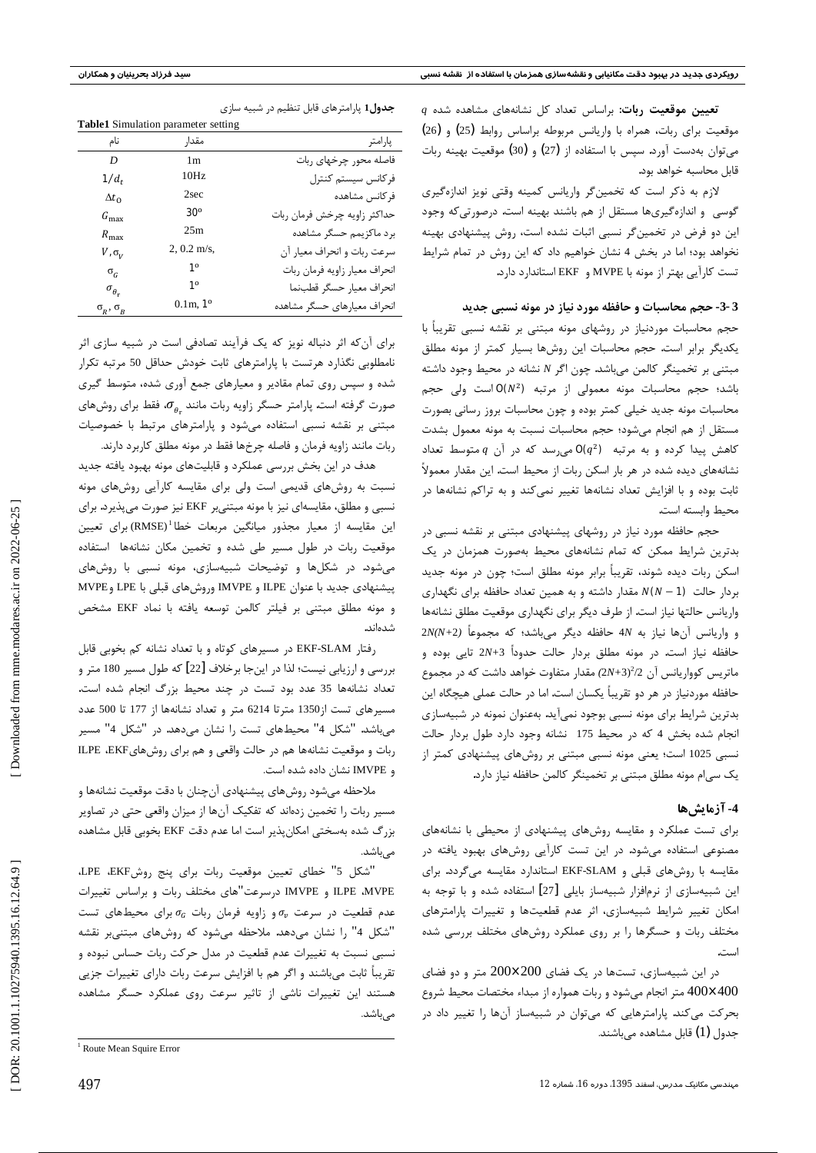$q$  تعیین موقعیت ربات: براساس تعداد کل نشانههای مشاهده شده موقعیت برای ربات، همراه با واریانس مربوطه براساس روابط (25) و (26) میتوان بهدست آورد. سپس با استفاده از (27) و (30) موقعیت بهینه ربات قابل محاسبه خواهد بود.

لازم به ذکر است که تخمینگر واریانس کمینه وقتی نویز اندازهگیری گوسی و اندازهگیریها مستقل از هم باشند بهینه است. درصورتی که وجود این دو فرض در تخمین گر نسبی اثبات نشده است، روش پیشنهادی بهینه نخواهد بود؛ اما در بخش 4 نشان خواهیم داد که این روش در تمام شرایط تست كارآيي بهتر از مونه با MVPE و EKF استاندارد دارد.

#### 3-3- حجم محاسبات و حافظه مورد نیاز در مونه نسبی جدید

حجم محاسبات موردنیاز در روشهای مونه مبتنی بر نقشه نسبی تقریباً با یکدیگر برابر است. حجم محاسبات این روشها بسیار کمتر از مونه مطلق مبتنی بر تخمینگر کالمن میباشد. چون اگر N نشانه در محیط وجود داشته باشد؛ حجم محاسبات مونه معمولی از مرتبه  $O(N^2)$ است ولی حجم محاسبات مونه جدید خیلی کمتر بوده و چون محاسبات بروز رسانی بصورت مستقل از هم انجام میشود؛ حجم محاسبات نسبت به مونه معمول بشدت  $q$  کاهش پیدا کرده و به مرتبه  $q^2$   $q$  می سد که در آن  $q$  متوسط تعداد نشانههای دیده شده در هر بار اسکن ربات از محیط است. این مقدار معمولاً ثابت بوده و با افزایش تعداد نشانهها تغییر نمیکند و به تراکم نشانهها در محيط وابسته است.

حجم حافظه مورد نیاز در روشهای پیشنهادی مبتنی بر نقشه نسبی در بدترین شرایط ممکن که تمام نشانههای محیط بهصورت همزمان در یک اسکن ربات دیده شوند، تقریباً برابر مونه مطلق است؛ چون در مونه جدید بردار حالت  $N(N-1)$  مقدار داشته و به همین تعداد حافظه برای نگهداری واریانس حالتها نیاز است. از طرف دیگر برای نگهداری موقعیت مطلق نشانهها و واریانس آنها نیاز به 4N حافظه دیگر میباشد؛ که مجموعاً (2N(N+2 حافظه نیاز است. در مونه مطلق بردار حالت حدوداً 3+2x تایی بوده و ماتریس کوواریانس آن 2 $\sqrt{2}$ (2+2) مقدار متفاوت خواهد داشت که در مجموع حافظه موردنیاز در هر دو تقریباً یکسان است. اما در حالت عملی هیچگاه این بدترین شرایط برای مونه نسبی بوجود نمیآید. بهعنوان نمونه در شبیهسازی انجام شده بخش 4 كه در محيط 175 نشانه وجود دارد طول بردار حالت نسبی 1025 است؛ یعنی مونه نسبی مبتنی بر روشهای پیشنهادی کمتر از یک سی|م مونه مطلق مبتنی بر تخمینگر کالمن حافظه نیاز دارد.

### 4- آزمایش ها

برای تست عملکرد و مقایسه روشهای پیشنهادی از محیطی با نشانههای مصنوعی استفاده میشود. در این تست کارآیی روشهای بهبود یافته در مقایسه با روشهای قبلی و EKF-SLAM استاندارد مقایسه میگردد. برای این شبیهسازی از نرمافزار شبیهساز بایلی [27] استفاده شده و با توجه به امکان تغییر شرایط شبیهسازی، اثر عدم قطعیتها و تغییرات پارامترهای مختلف ربات و حسگرها را بر روی عملکرد روشهای مختلف بررسی شده است.

در این شبیهسازی، تستها در یک فضای 200×200 متر و دو فضای 400×400 متر انجام میشود و ربات همواره از مبداء مختصات محیط شروع  $400$ بحرکت میکند. پارامترهایی که میتوان در شبیهساز آنها را تغییر داد در جدول (1) قابل مشاهده میباشند.

جدول1 پارامترهای قابل تنظیم در شبیه سازی

| <b>Table1</b> Simulation parameter setting |                               |
|--------------------------------------------|-------------------------------|
| مقدار                                      | پار امتر                      |
| 1m                                         | فاصله محور چرخهای ربات        |
| 10Hz                                       | فركانس سيستم كنترل            |
| 2sec                                       | فركانس مشاهده                 |
| $\mathbf{30}^{\rm o}$                      | حداكثر زاويه چرخش فرمان ربات  |
| 25m                                        | بر د ماکزیمم حسگر مشاهده      |
| $2, 0.2$ m/s,                              | سرعت ربات و انحراف معيار آن   |
| $1^{\circ}$                                | انحراف معيار زاويه فرمان ربات |
| $1^{\circ}$                                | انحراف معيار حسگر قطبنما      |
| $0.1$ m, $1^{\circ}$                       | انحراف معيارهاى حسگر مشاهده   |
|                                            |                               |

برای آن که اثر دنباله نویز که یک فرآیند تصادفی است در شبیه سازی اثر نامطلوبی نگذارد هرتست با پارامترهای ثابت خودش حداقل 50 مرتبه تکرار شده و سپس روی تمام مقادیر و معیارهای جمع آوری شده، متوسط گیری صورت گرفته است. پارامتر حسگر زاویه ربات مانند  $\sigma_a$ ، فقط برای روشهای مبتنی بر نقشه نسبی استفاده میشود و پارامترهای مرتبط با خصوصیات ربات مانند زاويه فرمان و فاصله چرخها فقط در مونه مطلق كاربرد دارند.

هدف در این بخش بررسی عملکرد و قابلیتهای مونه بهبود یافته جدید نسبت به روشهای قدیمی است ولی برای مقایسه کارآیی روشهای مونه نسبی و مطلق، مقایسهای نیز با مونه مبتنیبر EKF نیز صورت میپذیرد. برای این مقایسه از معیار مجذور میانگین مربعات خطا<sup>1</sup>(RMSE)برای تعیین موقعیت ربات در طول مسیر طی شده و تخمین مکان نشانهها استفاده می شود. در شکلها و توضیحات شبیهسازی، مونه نسبی با روشهای پیشنهادی جدید با عنوان ILPE و IMVPE وروشهای قبلی با LPE و MVPE و مونه مطلق مبتنى بر فيلتر كالمن توسعه يافته با نماد EKF مشخص شدەاند.

رفتار EKF-SLAM در مسیرهای کوتاه و با تعداد نشانه کم بخوبی قابل بررسی و ارزیابی نیست؛ لذا در اینجا برخلاف [22] که طول مسیر 180 متر و تعداد نشانهها 35 عدد بود تست در چند محیط بزرگ انجام شده است. مسيرهاي تست از1350 مترتا 6214 متر و تعداد نشانهها از 177 تا 500 عدد میباشد. "شکل 4" محیطهای تست را نشان میدهد. در "شکل 4" مسیر ربات و موقعیت نشانهها هم در حالت واقعی و هم برای روشهای ILPE ،EKF و IMVPE نشان داده شده است.

ملاحظه میشود روشهای پیشنهادی آنچنان با دقت موقعیت نشانهها و مسیر ربات را تخمین زدهاند که تفکیک آنها از میزان واقعی حتی در تصاویر بزرگ شده بهسختی امکان پذیر است اما عدم دقت EKF بخوبی قابل مشاهده مىباشد.

"شكل 5" خطاى تعيين موقعيت ربات براى پنج روشLPE ،EKF ILPE ،MVPE و IMVPE درسرعت"های مختلف ربات و براساس تغییرات عدم قطعیت در سرعت  $\sigma_v$  و زاویه فرمان ربات  $\sigma_c$  برای محیطهای تست "شكل 4" را نشان مىدهد. ملاحظه مىشود كه روشهاى مبتنىبر نقشه نسبی نسبت به تغییرات عدم قطعیت در مدل حرکت ربات حساس نبوده و تقریباً ثابت میباشند و اگر هم با افزایش سرعت ربات دارای تغییرات جزیی هستند این تغییرات ناشی از تاثیر سرعت روی عملکرد حسگر مشاهده مے باشد.

<sup>&</sup>lt;sup>1</sup> Route Mean Squire Error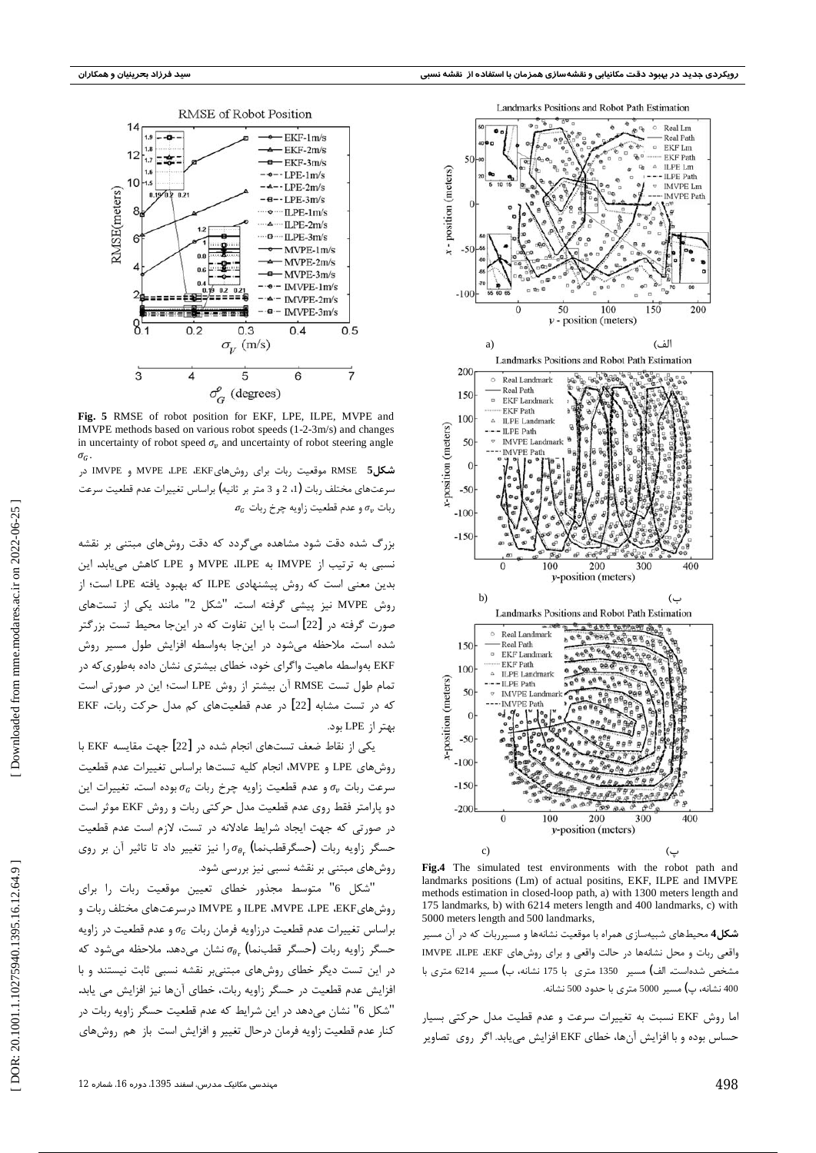

Fig. 5 RMSE of robot position for EKF, LPE, ILPE, MVPE and IMVPE methods based on various robot speeds (1-2-3m/s) and changes in uncertainty of robot speed  $\sigma_v$  and uncertainty of robot steering angle

شکل5 RMSE موقعیت ربات برای روشهایMVPE ،LPE ،EKF و IMVPE در سرعتهای مختلف ربات (1، 2 و 3 متر بر ثانیه) براساس تغییرات عدم قطعیت سرعت  $\sigma_G$  ربات  $\sigma_v$  و عدم قطعیت زاویه چرخ ربات,

بزرگ شده دقت شود مشاهده میگردد که دقت روشهای مبتنی بر نقشه نسبی به ترتیب از IMVPE به MVPE ،ILPE و LPE کاهش می یابد. این بدین معنی است که روش پیشنهادی ILPE که بهبود یافته LPE است؛ از روش MVPE نیز پیشی گرفته است. "شکل 2" مانند یکی از تستهای صورت گرفته در [22] است با این تفاوت که در اینجا محیط تست بزرگتر شده است. ملاحظه میشود در اینجا بهواسطه افزایش طول مسیر روش .<br>EKF بهواسطه ماهیت واگرای خود، خطای بیشتری نشان داده بهطوریکه در تمام طول تست RMSE آن بیشتر از روش LPE است؛ این در صورتی است که در تست مشابه [22] در عدم قطعیتهای کم مدل حرکت ربات، EKF بهتر از LPE بود.

یکی از نقاط ضعف تستهای انجام شده در [22] جهت مقایسه EKF با روش های LPE و MVPE، انجام کلیه تستها براساس تغییرات عدم قطعیت  $\sigma_v$ سرعت ربات  $\sigma_v$  و عدم قطعیت زاویه چرخ ربات  $\sigma_{\rm G}$  بوده است. تغییرات این دو پارامتر فقط روی عدم قطعیت مدل حرکتی ربات و روش EKF موثر است در صورتی که جهت ایجاد شرایط عادلانه در تست، لازم است عدم قطعیت حسگر زاویه ربات (حسگرقطبنما) . $\sigma_{\theta_{n}}$ ا نیز تغییر داد تا تاثیر آن بر روی روشهای مبتنی بر نقشه نسبی نیز بررسی شود.

"شكل 6" متوسط مجذور خطاى تعيين موقعيت ربات را براى روشهای ILPE ،MVPE ،LPE ،EKF و IMVPE درسرعتهای مختلف ربات و براساس تغییرات عدم قطعیت درزاویه فرمان ربات  $\sigma_G$  و عدم قطعیت در زاویه حسگر زاویه ربات (حسگر قطبنما)  $\sigma_{\theta_{\rm r}}$  نشان میدهد. ملاحظه میشود که در این تست دیگر خطای روشهای مبتنیبر نقشه نسبی ثابت نیستند و با افزایش عدم قطعیت در حسگر زاویه ربات، خطای آنها نیز افزایش می یابد. "شكل 6" نشان مىدهد در اين شرايط كه عدم قطعيت حسگر زاويه ربات در کنار عدم قطعیت زاویه فرمان درحال تغییر و افزایش است باز هم روشهای



Fig.4 The simulated test environments with the robot path and landmarks positions (Lm) of actual positins, EKF, ILPE and IMVPE methods estimation in closed-loop path, a) with 1300 meters length and 175 landmarks, b) with 6214 meters length and 400 landmarks, c) with 5000 meters length and 500 landmarks,

**شکل4** محیطهای شبیهسازی همراه با موقعیت نشانهها و مسیرربات که در آن مسیر واقعی ربات و محل نشانهها در حالت واقعی و برای روشهای IMVPE ،ILPE ،EKF مشخص شدهاست. الف) مسیر 1350 متری با 175 نشانه، ب) مسیر 6214 متری با 400 نشانه، پ) مسير 5000 متري يا حدود 500 نشانه.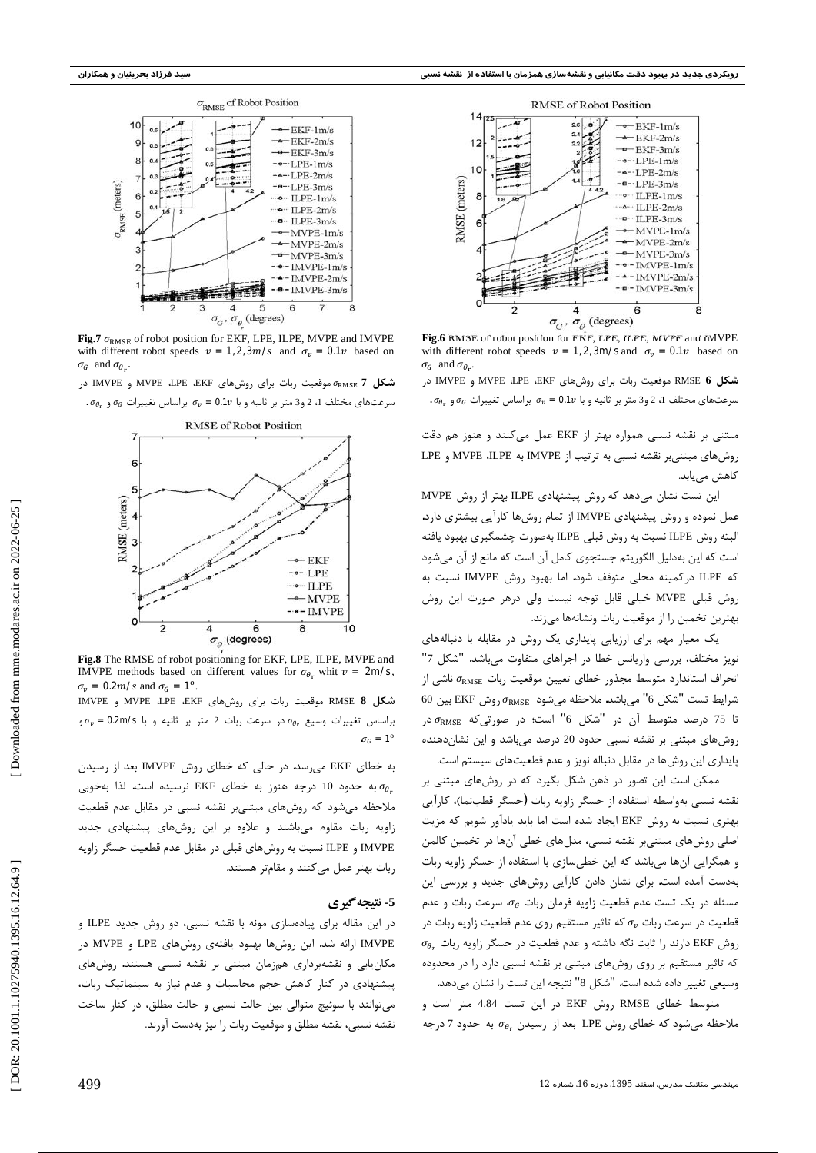

Fig.7  $\sigma_{\text{RMSE}}$  of robot position for EKF, LPE, ILPE, MVPE and IMVPE with different robot speeds  $v = 1,2,3m/s$  and  $\sigma_v = 0.1v$  based on  $\sigma_G$  and  $\sigma_{\theta_r}$ .

شکل 7 RMSE موقعیت ربات برای روشهای MVPE ،LPE ،EKF و IMVPE در  $\sigma_{\theta_r}$  سرعتهای مختلف 1، 2 و3 متر بر ثانیه و با  $\sigma_v = \mathbf{0.1}$  براساس تغییرات  $\sigma_G$  و .



Fig.8 The RMSE of robot positioning for EKF, LPE, ILPE, MVPE and IMVPE methods based on different values for  $\sigma_{\theta_r}$  whit  $v = 2m/s$ .  $\sigma_v = 0.2 m/s$  and  $\sigma_G = 1^\circ$ .

شكل RMSE 8 موقعيت ربات براي روش هاي MVPE ،LPE ،EKF و IMVPE  $\sigma_v$  براساس تغييرات وسيع  $\sigma_{\theta_r}$  در سرعت ربات 2 متر بر ثانيه و با 0.2m/s بر  $\sigma_c = 1^\circ$ 

به خطای EKF میرسد. در حالی که خطای روش IMVPE بعد از رسیدن به حدود 10 درجه هنوز به خطای EKF نرسیده است. لذا بهخوبی  $\sigma_{\theta_r}$ .<br>ملاحظه می شود که روشهای مبتنیبر نقشه نسبی در مقابل عدم قطعیت زاویه ربات مقاوم میباشند و علاوه بر این روشهای پیشنهادی جدید IMVPE و ILPE نسبت به روشهای قبلی در مقابل عدم قطعیت حسگر زاویه ربات بهتر عمل می کنند و مقامتر هستند.

#### 5- نتيجه گيري

در این مقاله برای پیادهسازی مونه با نقشه نسبی، دو روش جدید ILPE و IMVPE ارائه شد. این روشها بهبود یافتهی روشهای LPE و MVPE در مکان یابی و نقشهبرداری همزمان مبتنی بر نقشه نسبی هستند. روشهای پیشنهادی در کنار کاهش حجم محاسبات و عدم نیاز به سینماتیک ربات، می توانند با سوئیچ متوالی بین حالت نسبی و حالت مطلق، در کنار ساخت نقشه نسبی، نقشه مطلق و موقعیت ربات را نیز بهدست آورند.



Fig.6 RMSE of robot position for EKF, LPE, ILPE, MVPE and IMVPE with different robot speeds  $v = 1,2,3$ m/s and  $\sigma_v = 0.1v$  based on  $\sigma_G$  and  $\sigma_{\theta_r}$ .

شکل 6 RMSE موقعیت ربات برای روشهای MVPE ،LPE ،EKF و IMVPE در  $\sigma_{\theta_r}$  سرعتهای مختلف 1، 2 و3 متر بر ثانیه و با  $\sigma_v = 0.1$  براساس تغییرات  $\sigma_{\theta_r}$  و

مبتنی بر نقشه نسبی همواره بهتر از EKF عمل میکنند و هنوز هم دقت روشهای مبتنیبر نقشه نسبی به ترتیب از IMVPE به MVPE ،ILPE و LPE کاهش مے پابد.

این تست نشان میدهد که روش پیشنهادی ILPE بهتر از روش MVPE عمل نموده و روش پیشنهادی IMVPE از تمام روشها کارآیی بیشتری دارد. البته ,وش ILPE نسبت به ,وش قبلي ILPE بهصورت چشمگيري بهبود يافته است که این بهدلیل الگوریتم جستجوی کامل آن است که مانع از آن میشود كه ILPE دركمينه محلي متوقف شود. اما بهبود روش IMVPE نسبت به روش قبلی MVPE خیلی قابل توجه نیست ولی درهر صورت این روش بهترین تخمین را از موقعیت ربات ونشانهها می;ند.

یک معیار مهم برای ارزیابی پایداری یک روش در مقابله با دنبالههای نویز مختلف، بررسی واریانس خطا در اجراهای متفاوت میباشد. "شکل 7" انحراف استاندارد متوسط مجذور خطاى تعيين موقعيت ربات  $\sigma_{\rm RMSE}$  ناشى از شرايط تست "شكل 6" مىباشد. ملاحظه مىشود  $\sigma_{\rm RMSE}$  روش EKF بين 60 تا 75 درصد متوسط آن در "شكل 6" است؛ در صورتى كه  $\sigma_{\text{RMSE}}$  در روشهای مبتنی بر نقشه نسبی حدود 20 درصد میباشد و این نشاندهنده پایداری این روشها در مقابل دنباله نویز و عدم قطعیتهای سیستم است.

ممکن است این تصور در ذهن شکل بگیرد که در روشهای مبتنی بر نقشه نسبی بهواسطه استفاده از حسگر زاویه ربات (حسگر قطبنما)، کارآیی بهتری نسبت به روش EKF ایجاد شده است اما باید یادآور شویم که مزیت اصلی روشهای مبتنیبر نقشه نسبی، مدلهای خطی آنها در تخمین کالمن و همگرایی آنها میباشد که این خطیسازی با استفاده از حسگر زاویه ربات بهدست آمده است. برای نشان دادن کارآیی روشهای جدید و بررسی این مسئله در یک تست عدم قطعیت زاویه فرمان ربات  $\sigma_{G}$ ، سرعت ربات و عدم قطعیت در سرعت ربات  $\sigma_v$  که تاثیر مستقیم روی عدم قطعیت زاویه ربات در  $\sigma_{\theta_{r}}$  وش EKF دارند را ثابت نگه داشته و عدم قطعیت در حسگر زاویه ربات که تاثیر مستقیم بر روی روشهای مبتنی بر نقشه نسبی دارد را در محدوده وسيعي تغيير داده شده است. "شكل 8" نتيجه اين تست را نشان ميدهد.

متوسط خطای RMSE روش EKF در این تست 4.84 متر است و ملاحظه میشود که خطای روش LPE بعد از رسیدن  $\sigma_{\theta_{\rm r}}$  به حدود 7 درجه